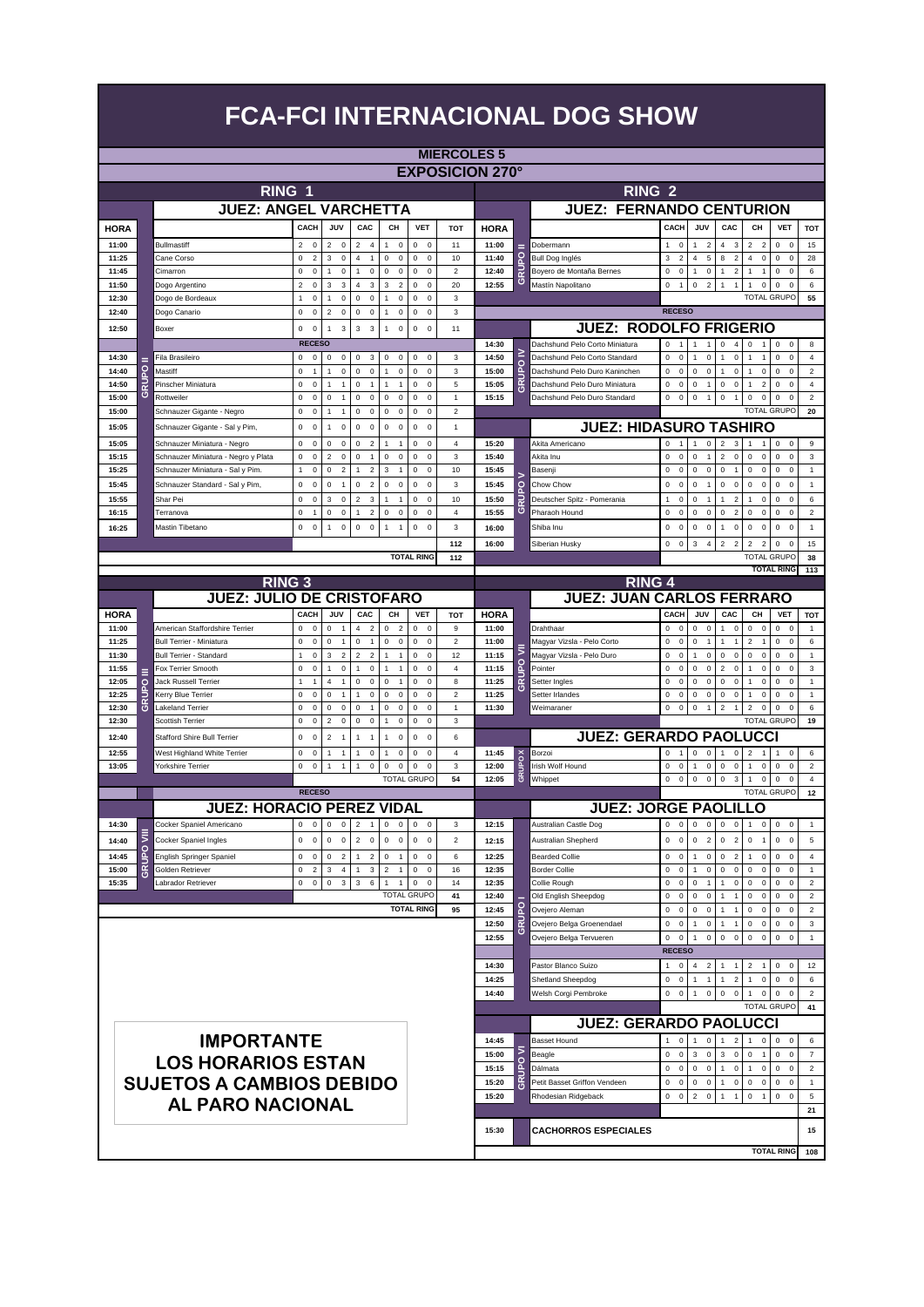|                      |        |                                                   |                                                              |                                            |                                                                |                                                     |                                                |                              |                        |                     | <b>FCA-FCI INTERNACIONAL DOG SHOW</b>                         |                                                           |                                                  |                                                                 |                                                                |                                             |                                  |
|----------------------|--------|---------------------------------------------------|--------------------------------------------------------------|--------------------------------------------|----------------------------------------------------------------|-----------------------------------------------------|------------------------------------------------|------------------------------|------------------------|---------------------|---------------------------------------------------------------|-----------------------------------------------------------|--------------------------------------------------|-----------------------------------------------------------------|----------------------------------------------------------------|---------------------------------------------|----------------------------------|
|                      |        |                                                   |                                                              |                                            |                                                                |                                                     |                                                | <b>MIERCOLES 5</b>           |                        |                     |                                                               |                                                           |                                                  |                                                                 |                                                                |                                             |                                  |
|                      |        |                                                   |                                                              |                                            |                                                                |                                                     |                                                |                              | <b>EXPOSICION 270°</b> |                     |                                                               |                                                           |                                                  |                                                                 |                                                                |                                             |                                  |
|                      |        | RING 1                                            |                                                              |                                            |                                                                |                                                     |                                                |                              |                        |                     | <b>RING 2</b>                                                 |                                                           |                                                  |                                                                 |                                                                |                                             |                                  |
|                      |        | <b>JUEZ: ANGEL VARCHETTA</b>                      |                                                              |                                            |                                                                |                                                     |                                                |                              |                        |                     | <b>JUEZ: FERNANDO CENTURION</b>                               |                                                           |                                                  |                                                                 |                                                                |                                             |                                  |
|                      |        |                                                   | CACH                                                         | JUV                                        | CAC                                                            | CH                                                  | <b>VET</b>                                     | <b>TOT</b>                   |                        |                     |                                                               | CACH                                                      | JUV                                              | CAC                                                             | CH                                                             | <b>VET</b>                                  |                                  |
| <b>HORA</b><br>11:00 |        | <b>Bullmastiff</b>                                | $\overline{2}$<br>$\mathbf 0$                                | $\overline{2}$<br>$\mathbf 0$              | $\overline{a}$<br>$\overline{4}$                               | $\mathbf 0$<br>1                                    | $\mathbf 0$<br>$\overline{\mathbf{0}}$         | 11                           | <b>HORA</b><br>11:00   |                     | Dobermann                                                     | $\mathbf 0$<br>$\mathbf{1}$                               | -1                                               | 3<br>4                                                          | $\overline{2}$<br>$\overline{2}$                               | $\mathbf 0$<br>$\mathbf 0$                  | TOT<br>15                        |
| 11:25                |        | Cane Corso                                        | 0<br>$\overline{2}$                                          | 3<br>$\mathbf 0$                           | $\overline{4}$<br>$\mathbf{1}$                                 | 0<br>$\mathsf 0$                                    | 0<br>$\mathbf 0$                               | 10                           | 11:40                  | 잍                   | Bull Dog Inglés                                               | 3<br>$\overline{2}$                                       | $\overline{2}$<br>5<br>$\overline{4}$            | $\overline{2}$<br>8                                             | $\overline{4}$<br>$\mathbf 0$                                  | 0<br>$\mathbf 0$                            | 28                               |
| 11:45                |        | Cimarron                                          | 0<br>0                                                       | 1<br>0                                     | 1<br>0                                                         | 0<br>0                                              | $\pmb{0}$<br>0                                 | $\overline{\mathbf{c}}$      | 12:40                  | 己                   | Boyero de Montaña Bernes                                      | 0<br>0                                                    | $\mathsf 0$<br>1                                 | $\overline{2}$                                                  | 1                                                              | 0<br>$\mathbf 0$                            | 6                                |
| 11:50                |        | Dogo Argentino                                    | $\overline{2}$<br>0                                          | 3<br>3                                     | $\overline{4}$<br>$\sqrt{3}$                                   | 3<br>$\sqrt{2}$                                     | $\pmb{0}$<br>0                                 | 20                           | 12:55                  | ত                   | Mastín Napolitano                                             | $\mathsf 0$<br>$\overline{1}$                             | $\sqrt{2}$<br>$\mathsf 0$                        | $\overline{1}$<br>$\mathbf{1}$                                  | $\pmb{0}$<br>1                                                 | 0<br>$\mathbf 0$                            | 6                                |
| 12:30<br>12:40       |        | Dogo de Bordeaux<br>Dogo Canario                  | 0<br>$\mathbf{1}$<br>$\mathsf 0$<br>0                        | 0<br>1<br>$\overline{\mathbf{c}}$<br>0     | $\mathsf 0$<br>$\Omega$<br>$\mathbf 0$<br>$\pmb{0}$            | $\mathbf 0$<br>1<br>$\mathsf 0$<br>1                | 0<br>$\Omega$<br>$\pmb{0}$<br>0                | 3<br>3                       |                        |                     |                                                               | <b>RECESO</b>                                             |                                                  |                                                                 | <b>TOTAL GRUPC</b>                                             |                                             | 55                               |
| 12:50                |        | Boxer                                             | $\mathsf 0$<br>$\Omega$                                      | 3<br>1                                     | 3<br>3                                                         | $\mathbf 0$<br>1                                    | $\mathsf 0$<br>$\Omega$                        | 11                           |                        |                     | <b>JUEZ: RODOLFO FRIGERIO</b>                                 |                                                           |                                                  |                                                                 |                                                                |                                             |                                  |
|                      |        |                                                   | <b>RECESO</b>                                                |                                            |                                                                |                                                     |                                                |                              | 14:30                  |                     | Dachshund Pelo Corto Miniatura                                | $\Omega$<br>$\overline{1}$                                | $\overline{1}$<br>$\overline{1}$                 | $\Omega$<br>$\overline{4}$                                      | 0<br>$\mathbf{1}$                                              | 0<br>$\mathbf 0$                            | 8                                |
| 14:30                |        | Fila Brasileiro                                   | 0<br>0                                                       | 0<br>0                                     | 0<br>3                                                         | 0<br>0                                              | 0<br>$\mathbf 0$                               | 3                            | 14:50                  |                     | Dachshund Pelo Corto Standard                                 | $\mathsf 0$<br>0                                          | 0<br>1                                           | 0<br>$\mathbf{1}$                                               | 1<br>$\overline{1}$                                            | 0<br>0                                      | $\overline{4}$                   |
| 14:40                | ō      | Mastiff                                           | $\mathsf 0$<br>1                                             | 0<br>1                                     | 0<br>$\mathbf 0$                                               | 0<br>1                                              | 0<br>$\mathbf 0$                               | 3                            | 15:00                  | <b>GRUPO</b>        | Dachshund Pelo Duro Kaninchen                                 | 0<br>$\mathsf 0$                                          | 0<br>0                                           | $\mathsf 0$<br>$\mathbf{1}$                                     | $\mathbf 0$<br>$\mathbf{1}$                                    | 0<br>$^{\circ}$                             | $\boldsymbol{2}$                 |
| 14:50                | ₿<br>ပ | Pinscher Miniatura<br>Rottweiler                  | $\mathsf 0$<br>$\mathbf 0$<br>$\mathsf 0$                    | 1<br>$\overline{1}$<br>0<br>$\overline{1}$ | 0<br>$\overline{1}$<br>0                                       | 1<br>$\overline{1}$<br>$\mathsf 0$                  | $\mathsf 0$<br>$\Omega$                        | 5                            | 15:05<br>15:15         |                     | Dachshund Pelo Duro Miniatura<br>Dachshund Pelo Duro Standard | $\mathbf 0$<br>$\Omega$<br>$\mathbf 0$<br>$\mathbf 0$     | 0<br>$\mathbf{1}$<br>$\mathsf 0$<br>$\mathbf{1}$ | $\mathbf 0$<br>0<br>$\mathbf 0$<br>$\mathbf{1}$                 | $\overline{2}$<br>$\overline{1}$<br>$\mathsf 0$<br>$\mathbf 0$ | 0<br>$\Omega$<br>0<br>$\Omega$              | $\sqrt{4}$<br>$\overline{2}$     |
| 15:00<br>15:00       |        | Schnauzer Gigante - Negro                         | 0<br>0<br>0                                                  | 1<br>1                                     | $\mathbf 0$<br>0<br>$\mathbf 0$                                | 0<br>0<br>0                                         | 0<br>$\mathbf 0$<br>$\mathsf 0$<br>$\mathbf 0$ | 1<br>$\overline{\mathbf{c}}$ |                        |                     |                                                               |                                                           |                                                  |                                                                 | <b>TOTAL GRUPO</b>                                             |                                             | 20                               |
| 15:05                |        | Schnauzer Gigante - Sal y Pim,                    | 0<br>0                                                       | 0<br>1                                     | 0<br>$\mathbf 0$                                               | 0<br>0                                              | 0<br>$\mathbf 0$                               | 1                            |                        |                     | <b>JUEZ: HIDASURO TASHIRO</b>                                 |                                                           |                                                  |                                                                 |                                                                |                                             |                                  |
| 15:05                |        | Schnauzer Miniatura - Negro                       | 0<br>0                                                       | 0<br>0                                     | 0<br>$\overline{2}$                                            | 1<br>$\overline{1}$                                 | $\pmb{0}$<br>0                                 | 4                            | 15:20                  |                     | Akita Americano                                               | 0<br>$\mathbf{1}$                                         | 0<br>1                                           | $\overline{2}$<br>3                                             | 1<br>$\mathbf{1}$                                              | 0<br>$\mathbf 0$                            | 9                                |
| 15:15                |        | Schnauzer Miniatura - Negro y Plata               | $\pmb{0}$<br>$\bf{0}$                                        | $\overline{2}$<br>0                        | $\mathbf 0$<br>$\overline{1}$                                  | 0<br>$\mathsf 0$                                    | $\mathsf 0$<br>$\mathbf 0$                     | 3                            | 15:40                  |                     | Akita Inu                                                     | $\mathbf 0$<br>$\mathbf 0$                                | $\mathbf 0$<br>$\overline{1}$                    | $\overline{2}$<br>$\mathbf 0$                                   | $\mathbf 0$<br>$\mathbf 0$                                     | 0<br>$\mathbf 0$                            | 3                                |
| 15:25                |        | Schnauzer Miniatura - Sal v Pim.                  | $\mathbf{1}$<br>$\bf{0}$                                     | 0<br>$\overline{2}$                        | $\overline{2}$<br>1                                            | 3<br>$\overline{1}$                                 | 0<br>$\mathbf 0$                               | 10                           | 15:45                  |                     | Basenji                                                       | $\mathsf 0$<br>$\mathsf 0$                                | $\mathsf 0$<br>0                                 | 0<br>$\overline{1}$                                             | $\mathsf 0$<br>$\mathbf 0$                                     | 0<br>$\mathbf 0$                            | $\mathbf{1}$                     |
| 15:45                |        | Schnauzer Standard - Sal y Pim,                   | $\pmb{0}$<br>$\mathbf 0$                                     | $\Omega$<br>-1                             | $\overline{2}$<br>$\Omega$                                     | 0<br>$\mathbf 0$                                    | 0<br>$\Omega$                                  | 3                            | 15:45                  | $\circ$             | Chow Chow                                                     | $\mathbf 0$<br>$\mathbf 0$                                | $\Omega$<br>-1                                   | $\Omega$<br>$\Omega$                                            | $\mathbf 0$<br>$\Omega$                                        | 0<br>$\Omega$                               | $\overline{1}$                   |
| 15:55<br>16:15       |        | Shar Pei<br>Terranova                             | $\mathsf 0$<br>0<br>$\mathbf 0$<br>$\overline{1}$            | 3<br>0<br>$\mathbf 0$<br>0                 | $\overline{2}$<br>$\sqrt{3}$<br>$\overline{2}$<br>$\mathbf{1}$ | 1<br>$\overline{1}$<br>$\mathsf 0$<br>$\pmb{0}$     | $\pmb{0}$<br>0<br>$\mathsf 0$<br>$\mathbf 0$   | 10<br>$\overline{4}$         | 15:50<br>15:55         | BUP<br>G            | Deutscher Spitz - Pomerania<br>Pharaoh Hound                  | $\mathbf{1}$<br>$\mathbf 0$<br>$\mathbf 0$<br>$\mathbf 0$ | 0<br>1<br>$\Omega$<br>$\mathbf 0$                | $\overline{2}$<br>$\mathbf{1}$<br>$\mathbf 0$<br>$\overline{2}$ | $\mathbf{1}$<br>0<br>$\mathbf 0$<br>$\circ$                    | 0<br>$^{\circ}$<br>0<br>$\Omega$            | 6<br>$\boldsymbol{2}$            |
| 16:25                |        | Mastin Tibetano                                   | 0<br>0                                                       | 1<br>$\mathbf 0$                           | 0<br>$\mathbf 0$                                               | 1<br>$\mathbf{1}$                                   | 0<br>$\mathbf 0$                               | 3                            | 16:00                  |                     | Shiba Inu                                                     | 0<br>$\mathbf 0$                                          | 0<br>$\mathbf 0$                                 | $\mathbf{1}$<br>0                                               | $\mathbf 0$<br>$\circ$                                         | 0<br>$\mathbf 0$                            | $\mathbf{1}$                     |
|                      |        |                                                   |                                                              |                                            |                                                                |                                                     |                                                | 112                          | 16:00                  |                     | Siberian Husky                                                | 0<br>$\mathbf 0$                                          | 3<br>4                                           | $\overline{2}$<br>$\overline{2}$                                | $\overline{2}$<br>$\overline{2}$                               | 0<br>$^{\circ}$                             | 15                               |
|                      |        |                                                   |                                                              |                                            |                                                                |                                                     | <b>TOTAL RING</b>                              | 112                          |                        |                     |                                                               |                                                           |                                                  |                                                                 | TOTAL GRUPO                                                    |                                             | 38                               |
|                      |        | <b>RING 3</b>                                     |                                                              |                                            |                                                                |                                                     |                                                |                              |                        |                     | <b>RING 4</b>                                                 |                                                           |                                                  |                                                                 |                                                                | <b>TOTAL RING</b>                           | 113                              |
|                      |        | <b>JUEZ: JULIO DE CRISTOFARO</b>                  |                                                              |                                            |                                                                |                                                     |                                                |                              |                        |                     | <b>JUEZ: JUAN CARLOS FERRARO</b>                              |                                                           |                                                  |                                                                 |                                                                |                                             |                                  |
| <b>HORA</b>          |        |                                                   | CACH                                                         | JUV                                        | CAC                                                            | CН                                                  | <b>VET</b>                                     | <b>TOT</b>                   | <b>HORA</b>            |                     |                                                               | CACH                                                      | JUV                                              | CAC                                                             | CН                                                             | VET                                         | <b>TOT</b>                       |
| 11:00                |        | American Staffordshire Terrier                    | $\Omega$<br>$\mathbf 0$                                      | $\Omega$<br>$\overline{1}$                 | 4<br>$\overline{2}$                                            | $\Omega$<br>$\overline{2}$                          | $\Omega$<br>$\Omega$                           | 9                            | 11:00                  |                     | Drahthaar                                                     | $\Omega$<br>0                                             | $\Omega$<br>$\mathbf 0$                          | $\mathbf{1}$<br>$\Omega$                                        | $\mathbf 0$<br>$\mathbf 0$                                     | 0<br>$\Omega$                               | $\overline{1}$                   |
| 11:25                |        | <b>Bull Terrier - Miniatura</b>                   | $\mathsf 0$<br>0                                             | 0<br>$\mathbf{1}$                          | 0<br>$\overline{1}$                                            | 0<br>$\mathsf 0$                                    | $\mathsf 0$<br>$\pmb{0}$                       | $\overline{\mathbf{c}}$      | 11:00                  |                     | Magyar Vizsla - Pelo Corto                                    | 0<br>$\mathbf 0$                                          | 0<br>$\overline{1}$                              | $\mathbf{1}$<br>$\overline{1}$                                  | $\overline{2}$<br>$\overline{1}$                               | 0<br>$\mathbf 0$                            | 6                                |
| 11:30<br>11:55       |        | <b>Bull Terrier - Standard</b>                    |                                                              | 3<br>$\overline{\mathbf{c}}$               |                                                                |                                                     | 0<br>$\mathbf 0$                               |                              |                        |                     |                                                               |                                                           |                                                  |                                                                 |                                                                |                                             | 1                                |
|                      |        |                                                   | 0<br>1                                                       |                                            | $\overline{2}$<br>$\overline{c}$                               | 1<br>$\mathbf{1}$                                   |                                                | 12                           | 11:15                  | ₹                   | Magyar Vizsla - Pelo Duro                                     | 0<br>$\mathbf 0$                                          | 0<br>1                                           | 0<br>$\mathbf 0$                                                | $\mathbf 0$<br>$\mathbf 0$                                     | 0<br>$^{\circ}$                             |                                  |
| 12:05                | o      | Fox Terrier Smooth<br><b>Jack Russell Terrier</b> | $\mathbf 0$<br>$\mathbf 0$<br>$\mathbf{1}$<br>$\overline{1}$ | $\mathbf 0$<br>1<br>4<br>1                 | $\mathsf 0$<br>$\mathbf{1}$<br>0<br>0                          | $\overline{1}$<br>1<br>0<br>$\mathbf{1}$            | $\mathbf 0$<br>$\mathbf 0$<br>$\pmb{0}$<br>0   | $\overline{a}$<br>8          | 11:15<br>11:25         | <b>RUPO</b>         | Pointer<br>Setter Ingles                                      | $\mathbf 0$<br>$\mathbf 0$<br>0<br>$\mathbf 0$            | $\mathsf 0$<br>$\Omega$<br>0<br>0                | $\overline{2}$<br>$\mathbf 0$<br>0<br>0                         | $\mathbf 0$<br>$\overline{1}$<br>1<br>0                        | $\mathbf 0$<br>$\Omega$<br>0<br>$\mathbf 0$ | 3<br>$\mathbf{1}$                |
| 12:25                | o      | Kerry Blue Terrier                                | 0<br>0                                                       | 0<br>$\mathbf{1}$                          | $\overline{1}$<br>0                                            | 0<br>0                                              | $\pmb{0}$<br>0                                 | $\overline{\mathbf{c}}$      | 11:25                  | $\mathbf{C}$        | Setter Irlandes                                               | $\mathsf 0$<br>0                                          | $\pmb{0}$<br>0                                   | 0<br>0                                                          | 1<br>0                                                         | 0<br>$^{\circ}$                             | $\overline{1}$                   |
| 12:30                | ₹<br>ပ | Lakeland Terrier                                  | $\pmb{0}$<br>0                                               | $\Omega$<br>0                              | 0<br>$\overline{1}$                                            | $\mathbf 0$<br>$\mathbf 0$                          | $\mathbf 0$<br>$\Omega$                        | $\mathbf{1}$                 | 11:30                  |                     | Weimaraner                                                    | $\mathbf 0$<br>$\mathbf 0$                                | $\mathbf 0$<br>$\mathbf{1}$                      | $\overline{2}$<br>$\overline{1}$                                | $\overline{2}$<br>0                                            | $\mathbf 0$<br>$\Omega$                     | 6                                |
| 12:30                |        | <b>Scottish Terrier</b>                           | $\pmb{0}$<br>$\bf{0}$                                        | $\overline{\mathbf{c}}$<br>$\pmb{0}$       | 0<br>$\mathsf 0$                                               | $\mathbf{1}$<br>$\mathsf 0$                         | $\mathsf 0$<br>$\mathbf 0$                     | 3                            |                        |                     |                                                               |                                                           |                                                  |                                                                 | <b>TOTAL GRUPO</b>                                             |                                             | 19                               |
| 12:40                |        | Stafford Shire Bull Terrier                       | 0<br>0                                                       | $\overline{\mathbf{c}}$<br>$\mathbf{1}$    | 1<br>$\mathbf{1}$                                              | $\mathbf 0$<br>1                                    | 0<br>$\mathbf 0$                               | 6                            |                        |                     | <b>JUEZ: GERARDO PAOLUCCI</b>                                 |                                                           |                                                  |                                                                 |                                                                |                                             |                                  |
| 12:55<br>13:05       |        | West Highland White Terrier<br>Yorkshire Terrier  | 0<br>0<br>$\mathbf 0$                                        | 1<br>$\mathbf{1}$<br>$\mathbf{1}$          | 1<br>0                                                         | 0<br>1                                              | $\Omega$<br>$\mathbf 0$<br>$\Omega$            | 4<br>3                       | 11:45<br>12:00         | $\times$<br>$\circ$ | Borzoi<br>Irish Wolf Hound                                    | 1<br>$\Omega$<br>$\Omega$                                 | $\mathsf 0$<br>$\mathbf 0$<br>$\mathbf{1}$       | $\mathbf 0$<br>$\overline{1}$                                   | $\overline{2}$<br>$\overline{1}$                               | $\mathbf{1}$<br>$\mathbf 0$<br>$\Omega$     | 6                                |
|                      |        |                                                   | 0                                                            | $\mathbf{1}$                               | $\mathbf{1}$<br>$\mathsf 0$                                    | $\mathsf 0$<br>$\mathsf 0$                          | $\mathsf 0$<br><b>TOTAL GRUPO</b>              | 54                           | 12:05                  | GRUP                | Whippet                                                       | $\mathbf 0$<br>$\mathsf 0$<br>$\circ$                     | $\mathsf 0$<br>$\mathsf 0$<br>$\mathsf 0$        | $\mathbf 0$<br>$\mathbf 0$<br>$\mathbf{3}$<br>$\mathsf 0$       | $\mathsf 0$<br>$\overline{1}$<br>$\overline{1}$<br>$\mathsf 0$ | 0<br>$\mathbf 0$<br>$\mathbf 0$             | $\mathbf 2$<br>$\overline{4}$    |
|                      |        |                                                   | <b>RECESO</b>                                                |                                            |                                                                |                                                     |                                                |                              |                        |                     |                                                               |                                                           |                                                  |                                                                 | <b>TOTAL GRUPO</b>                                             |                                             | 12                               |
|                      |        | <b>JUEZ: HORACIO PEREZ VIDAL</b>                  |                                                              |                                            |                                                                |                                                     |                                                |                              |                        |                     | <b>JUEZ: JORGE PAOLILLO</b>                                   |                                                           |                                                  |                                                                 |                                                                |                                             |                                  |
| 14:30                |        | Cocker Spaniel Americano                          | $\mathbf 0$<br>$\bf{0}$                                      | $\mathsf 0$<br>0                           | $\overline{\mathbf{c}}$<br>$\mathbf{1}$                        | $\mathbf 0$<br>$\boldsymbol{0}$                     | $\mathbf 0$<br>$\mathbf 0$                     | 3                            | 12:15                  |                     | Australian Castle Dog                                         | $\mathbf 0$<br>0                                          | 0<br>$\,0\,$                                     | $\mathbf 0$<br>$\mathbf 0$                                      | $\mathbf{1}$<br>$\boldsymbol{0}$                               | 0<br>$\mathbf 0$                            | $\overline{1}$                   |
| 14:40                | ₹<br>o | Cocker Spaniel Ingles                             | $\mathbf 0$<br>0                                             | 0<br>$\mathbf 0$                           | $\mathbf 2$<br>$\,0\,$                                         | $\mathsf 0$<br>$\mathsf 0$                          | $\mathbf 0$<br>$\overline{\mathbf{0}}$         | $\boldsymbol{2}$             | 12:15                  |                     | Australian Shepherd                                           | 0<br>$\mathbf 0$                                          | 0<br>$\overline{2}$                              | $\overline{2}$<br>0                                             | $\mathsf 0$<br>$\overline{1}$                                  | $\mathbf{0}$<br>$\mathbf 0$                 | 5                                |
| 14:45                | ≙      | English Springer Spaniel                          | $\mathsf 0$<br>$\bf{0}$                                      | 0<br>$\overline{2}$                        | $\overline{2}$<br>1                                            | 0<br>$\mathbf{1}$                                   | 0<br>$\mathbf 0$                               | 6                            | 12:25                  |                     | <b>Bearded Collie</b>                                         | 0<br>0                                                    | $\mathsf 0$<br>1                                 | $\overline{2}$<br>0                                             | 1<br>0                                                         | 0<br>$\mathbf 0$                            | 4                                |
| 15:00<br>15:35       | σ      | Golden Retriever<br>Labrador Retriever            | 0<br>$\overline{\mathbf{c}}$<br>0<br>0                       | 3<br>4<br>$\mathsf 0$<br>3                 | 1<br>3<br>3<br>6                                               | $\overline{2}$<br>$\mathbf{1}$<br>1<br>$\mathbf{1}$ | 0<br>$\mathbf 0$<br>$\mathbf 0$<br>$\mathbf 0$ | 16<br>14                     | 12:35<br>12:35         |                     | <b>Border Collie</b><br>Collie Rough                          | 0<br>$\mathbf 0$<br>$\mathbf 0$<br>0                      | 0<br>1<br>0<br>$\mathbf{1}$                      | 0<br>0<br>$\mathbf 0$<br>$\mathbf{1}$                           | $\mathbf 0$<br>$\overline{0}$<br>$\pmb{0}$<br>$\mathbf 0$      | 0<br>$^{\circ}$<br>0<br>$^{\circ}$          | $\overline{1}$<br>$\sqrt{2}$     |
|                      |        |                                                   |                                                              |                                            |                                                                |                                                     | <b>TOTAL GRUPO</b>                             | 41                           | 12:40                  |                     | Old English Sheepdog                                          | 0<br>$\mathbf{0}$                                         | $\mathsf 0$<br>0                                 | $\mathbf{1}$<br>$\mathbf{1}$                                    | $\mathbf 0$<br>$\mathbf 0$                                     | 0<br>$\Omega$                               | $\overline{2}$                   |
|                      |        |                                                   |                                                              |                                            |                                                                |                                                     | <b>TOTAL RING</b>                              | 95                           | 12:45                  | O                   | Ovejero Aleman                                                | $\mathbf 0$<br>$\mathsf 0$                                | 0<br>$\mathbf 0$                                 | $\overline{1}$<br>$\mathbf{1}$                                  | 0<br>$\mathbf 0$                                               | 0<br>$\Omega$                               | $\overline{c}$                   |
|                      |        |                                                   |                                                              |                                            |                                                                |                                                     |                                                |                              | 12:50                  |                     | Ovejero Belga Groenendael                                     | 0<br>$\mathbf 0$                                          | 0<br>1                                           | $\overline{1}$<br>-1                                            | 0<br>$\mathbf 0$                                               | 0<br>$\mathbf 0$                            | 3                                |
|                      |        |                                                   |                                                              |                                            |                                                                |                                                     |                                                |                              | 12:55                  |                     | Ovejero Belga Tervueren                                       | 0<br>$\mathsf 0$<br><b>RECESO</b>                         | $\mathsf 0$<br>1                                 | $\mathsf 0$<br>$\mathsf 0$                                      | $\mathsf 0$<br>$\mathbf 0$                                     | 0<br>$\Omega$                               | $\mathbf{1}$                     |
|                      |        |                                                   |                                                              |                                            |                                                                |                                                     |                                                |                              | 14:30                  |                     | Pastor Blanco Suizo                                           | $\circ$<br>1                                              | 4<br>$\overline{2}$                              | $\overline{1}$<br>$\mathbf{1}$                                  | $\overline{2}$<br>$\mathbf{1}$                                 | 0<br>$\mathbf 0$                            | 12                               |
|                      |        |                                                   |                                                              |                                            |                                                                |                                                     |                                                |                              | 14:25                  |                     | Shetland Sheepdog                                             | 0<br>$\mathbf 0$                                          | $\mathbf{1}$<br>1                                | $\overline{2}$<br>-1                                            | $\mathbf 0$<br>1                                               | 0<br>$\Omega$                               | 6                                |
|                      |        |                                                   |                                                              |                                            |                                                                |                                                     |                                                |                              | 14:40                  |                     | Welsh Corgi Pembroke                                          | $\overline{0}$<br>$\mathsf 0$                             | $\mathsf 0$<br>1                                 | $\mathsf 0$<br>$\mathsf 0$                                      | $\mathbf{1}$<br>$\mathbf 0$                                    | 0<br>$\Omega$                               | $\overline{2}$                   |
|                      |        |                                                   |                                                              |                                            |                                                                |                                                     |                                                |                              |                        |                     |                                                               |                                                           |                                                  |                                                                 | <b>TOTAL GRUPO</b>                                             |                                             | 41                               |
|                      |        |                                                   |                                                              |                                            |                                                                |                                                     |                                                |                              |                        |                     | <b>JUEZ: GERARDO PAOLUCCI</b>                                 |                                                           |                                                  |                                                                 |                                                                |                                             |                                  |
|                      |        | <b>IMPORTANTE</b>                                 |                                                              |                                            |                                                                |                                                     |                                                |                              | 14:45                  | ⋝                   | <b>Basset Hound</b>                                           |                                                           | $1 \quad 0 \quad 1$<br>$\mathbf 0$               | $\mathbf{1}$<br>$\overline{2}$                                  | 1<br>$\overline{0}$<br>$\overline{1}$                          | $0\quad 0$<br>$\Omega$                      | 6                                |
|                      |        | <b>LOS HORARIOS ESTAN</b>                         |                                                              |                                            |                                                                |                                                     |                                                |                              | 15:00<br>15:15         | $\circ$             | Beagle<br>Dálmata                                             | $\circ$<br>0<br>0<br>$\circ$                              | 3<br>$\mathsf 0$<br>$\mathbf 0$<br>$\mathsf 0$   | 3<br>0<br>$\mathsf 0$<br>$\mathbf{1}$                           | $\mathbf 0$<br>$\mathbf 0$<br>$\mathbf{1}$                     | 0<br>0<br>$\mathbf 0$                       | $\overline{7}$<br>$\overline{2}$ |
|                      |        | <b>SUJETOS A CAMBIOS DEBIDO</b>                   |                                                              |                                            |                                                                |                                                     |                                                |                              | 15:20                  | <b>GRUP</b>         | Petit Basset Griffon Vendeen                                  | $\circ$<br>0                                              | $\mathbf 0$<br>$\mathbf 0$                       | 0<br>$\mathbf{1}$                                               | $\mathbf 0$<br>$\mathbf 0$                                     | 0<br>$\mathbf 0$                            | $\mathbf{1}$                     |
|                      |        |                                                   |                                                              |                                            |                                                                |                                                     |                                                |                              | 15:20                  |                     | Rhodesian Ridgeback                                           | $0\quad 0$                                                | $\overline{2}$<br>$\mathsf 0$                    | $\mathbf{1}$<br>$\mathbf{1}$                                    | $\mathsf 0$<br>$\overline{1}$                                  | 0<br>$\Omega$                               | 5                                |
|                      |        | <b>AL PARO NACIONAL</b>                           |                                                              |                                            |                                                                |                                                     |                                                |                              |                        |                     |                                                               |                                                           |                                                  |                                                                 |                                                                |                                             | 21                               |
|                      |        |                                                   |                                                              |                                            |                                                                |                                                     |                                                |                              | 15:30                  |                     | <b>CACHORROS ESPECIALES</b>                                   |                                                           |                                                  |                                                                 |                                                                |                                             | 15                               |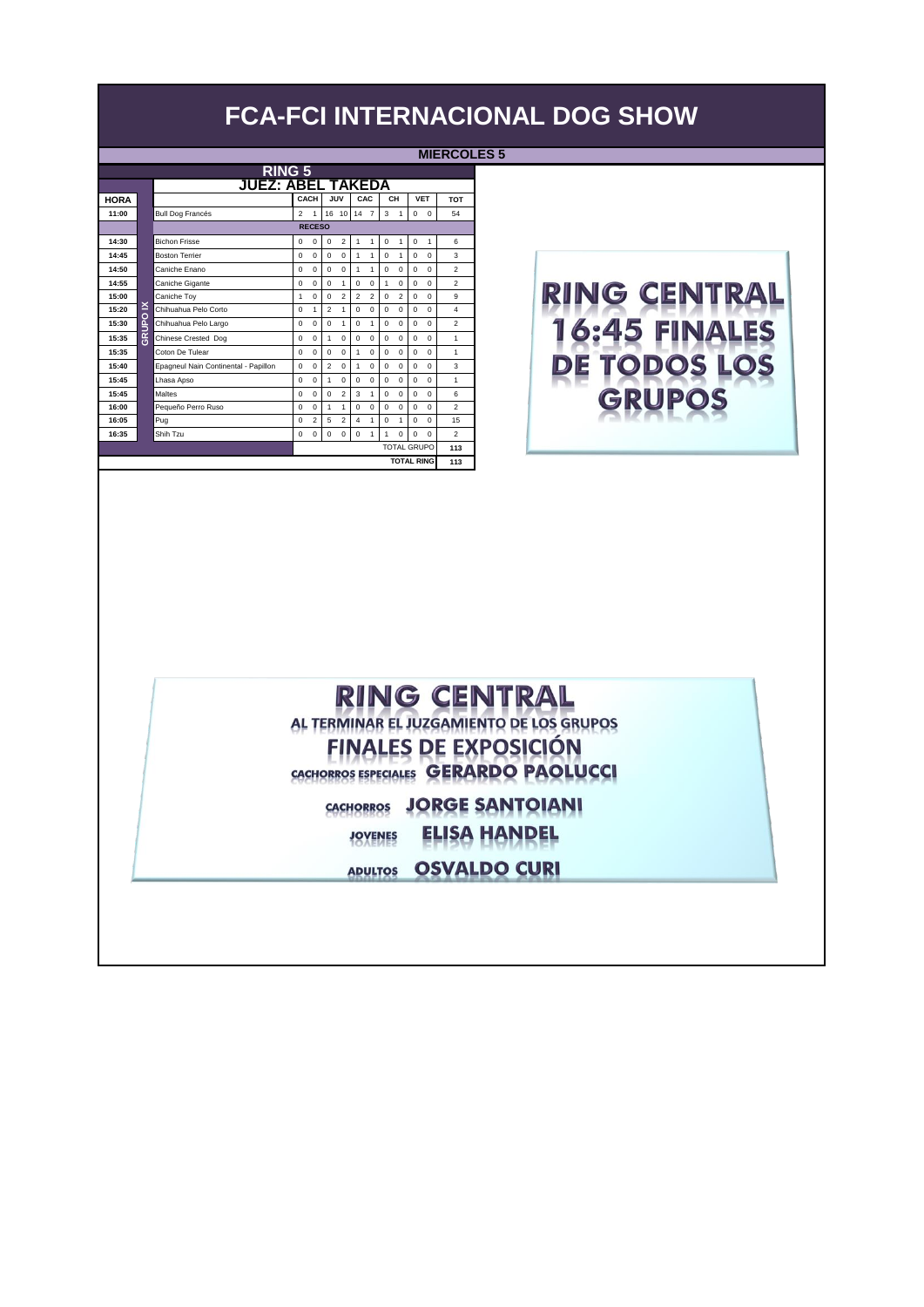|             |          |                                      |                |                |                |                |                |                |             |                |                    |                   | .              |
|-------------|----------|--------------------------------------|----------------|----------------|----------------|----------------|----------------|----------------|-------------|----------------|--------------------|-------------------|----------------|
|             |          | <b>RING 5</b>                        |                |                |                |                |                |                |             |                |                    |                   |                |
|             |          | <b>JUEZ: ABEL TAKEDA</b>             |                |                |                |                |                |                |             |                |                    |                   |                |
| <b>HORA</b> |          |                                      |                | CACH           |                | JUV            | CAC            |                |             | CH             |                    | <b>VET</b>        | <b>TOT</b>     |
| 11:00       |          | <b>Bull Dog Francés</b>              | $\mathfrak{p}$ | 1              |                |                | 16 10 14 7     |                | 3           | $\mathbf{1}$   | $\mathbf 0$        | $\mathbf 0$       | 54             |
|             |          |                                      |                | <b>RECESO</b>  |                |                |                |                |             |                |                    |                   |                |
| 14:30       |          | <b>Bichon Frisse</b>                 | $\mathbf 0$    | $\mathbf 0$    | $\mathbf 0$    | $\overline{2}$ | 1              | 1              | $\mathbf 0$ | 1              | $\mathbf 0$        | 1                 | 6              |
| 14:45       |          | <b>Boston Terrier</b>                | $\Omega$       | $\Omega$       | $\Omega$       | $\mathbf 0$    | 1              | 1              | $\Omega$    | 1              | $\Omega$           | $\mathbf 0$       | 3              |
| 14:50       |          | Caniche Enano                        | $\Omega$       | $\Omega$       | $\Omega$       | $\Omega$       | 1              | 1              | $\Omega$    | $\Omega$       | $\Omega$           | $\Omega$          | $\mathfrak{p}$ |
| 14:55       |          | Caniche Gigante                      | $\mathbf 0$    | $\mathbf 0$    | $\Omega$       | 1              | $\mathbf 0$    | $\mathbf 0$    | 1           | $\mathbf 0$    | $\mathbf 0$        | 0                 | $\mathfrak{p}$ |
| 15:00       |          | Caniche Toy                          | 1              | $\mathbf 0$    | $\Omega$       | $\overline{2}$ | $\overline{c}$ | $\overline{2}$ | $\Omega$    | $\overline{2}$ | $\mathbf 0$        | $\mathbf 0$       | 9              |
| 15:20       | ×        | Chihuahua Pelo Corto                 | $\Omega$       | 1              | $\mathfrak{p}$ | 1              | 0              | $\Omega$       | $\Omega$    | $\Omega$       | $\Omega$           | $\Omega$          | 4              |
| 15:30       | <b>O</b> | Chihuahua Pelo Largo                 | $\Omega$       | $\Omega$       | $\Omega$       | 1              | 0              | 1              | $\Omega$    | $\Omega$       | 0                  | 0                 | $\mathfrak{p}$ |
| 15:35       | 종        | Chinese Crested Dog                  | $\Omega$       | $\Omega$       | $\mathbf{1}$   | $\Omega$       | $\Omega$       | $\Omega$       | $\Omega$    | 0              | $\Omega$           | $\Omega$          | $\mathbf{1}$   |
| 15:35       |          | Coton De Tulear                      | $\Omega$       | $\Omega$       | $\Omega$       | $\Omega$       | 1              | 0              | $\Omega$    | $\Omega$       | $\Omega$           | $\Omega$          | $\mathbf{1}$   |
| 15:40       |          | Epagneul Nain Continental - Papillon | $\Omega$       | $\Omega$       | $\mathfrak{p}$ | $\Omega$       | 1              | 0              | $\Omega$    | $\Omega$       | 0                  | 0                 | 3              |
| 15:45       |          | Lhasa Apso                           | $\Omega$       | $\Omega$       | 1              | $\Omega$       | $\Omega$       | $\Omega$       | $\Omega$    | $\Omega$       | $\Omega$           | $\Omega$          | $\overline{1}$ |
| 15:45       |          | Maltes                               | $\Omega$       | $\Omega$       | $\Omega$       | $\overline{2}$ | 3              | 1              | $\Omega$    | $\Omega$       | 0                  | $\Omega$          | 6              |
| 16:00       |          | Pequeño Perro Ruso                   | $\Omega$       | $\Omega$       | $\mathbf{1}$   | 1              | $\Omega$       | $\Omega$       | $\Omega$    | $\Omega$       | $\Omega$           | $\Omega$          | $\mathfrak{p}$ |
| 16:05       |          | Pug                                  | $\Omega$       | $\overline{c}$ | 5              | $\overline{2}$ | 4              | 1              | $\Omega$    | 1              | $\Omega$           | $\Omega$          | 15             |
| 16:35       |          | Shih Tzu                             | $\mathbf 0$    | $\Omega$       | $\Omega$       | $\Omega$       | $\Omega$       | 1              | 1           | $\Omega$       | $\Omega$           | $\Omega$          | $\mathfrak{p}$ |
|             |          |                                      |                |                |                |                |                |                |             |                | <b>TOTAL GRUPO</b> |                   | 113            |
|             |          |                                      |                |                |                |                |                |                |             |                |                    | <b>TOTAL RING</b> | 113            |

#### **MIERCOLES 5**



## **RING CENTRAL**

AL TERMINAR EL JUZGAMIENTO DE LOS GRUPOS **FINALES DE EXPOSICIÓN** CACHORROS ESPECIALES GERARDO PAOLUCCI

CACHORROS JORGE SANTOIANI

**ELISA HANDEL JOVENES** 

**ADULTOS OSVALDO CURI**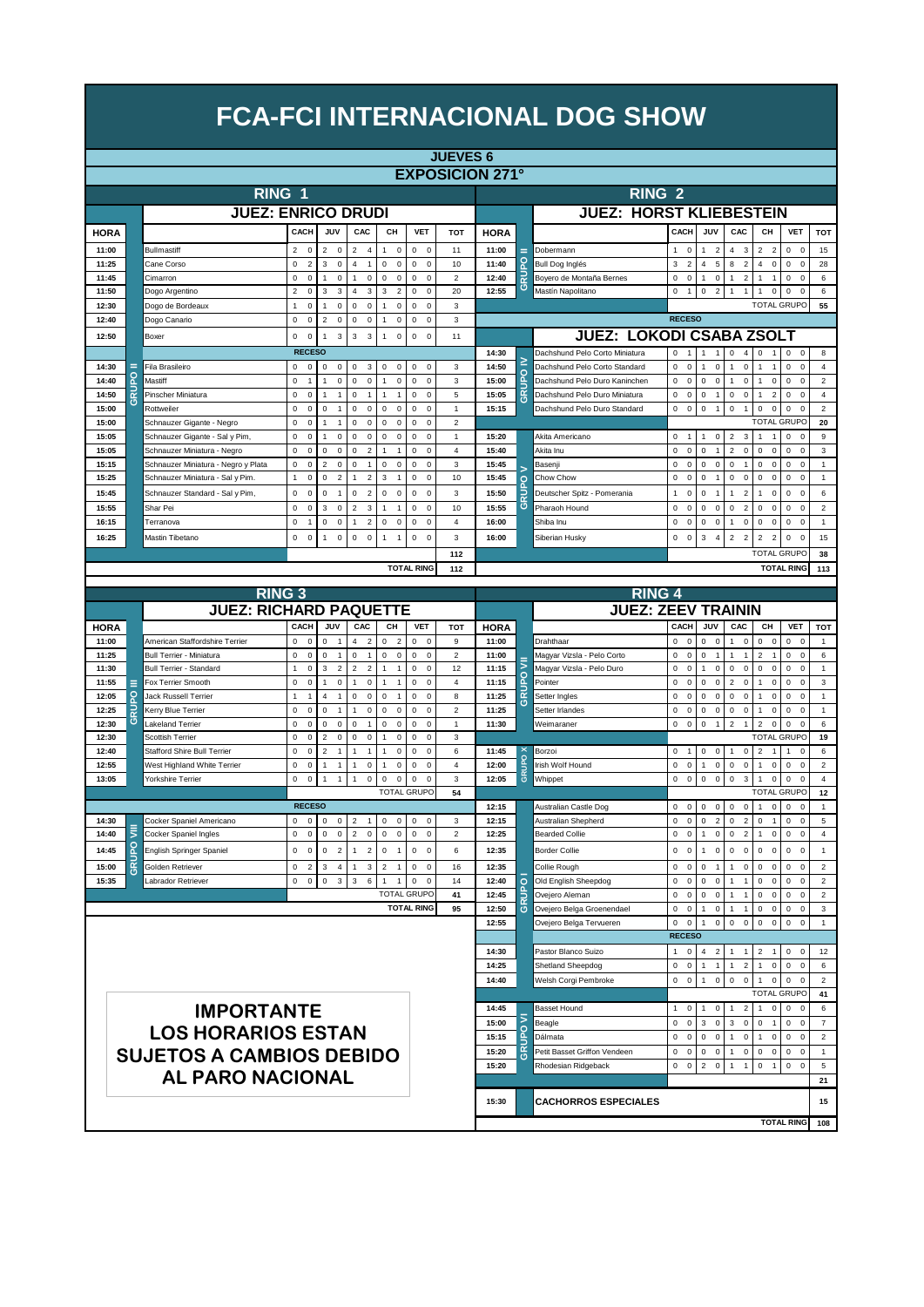|                |          |                                                               |                                                          |                                      |                                                             |                                            |                                                  | <b>JUEVES 6</b>                |                        |                |                                             |                                                             |                                                              |                                                       |                                                              |                                      |                                 |
|----------------|----------|---------------------------------------------------------------|----------------------------------------------------------|--------------------------------------|-------------------------------------------------------------|--------------------------------------------|--------------------------------------------------|--------------------------------|------------------------|----------------|---------------------------------------------|-------------------------------------------------------------|--------------------------------------------------------------|-------------------------------------------------------|--------------------------------------------------------------|--------------------------------------|---------------------------------|
|                |          |                                                               |                                                          |                                      |                                                             |                                            |                                                  |                                | <b>EXPOSICION 271°</b> |                |                                             |                                                             |                                                              |                                                       |                                                              |                                      |                                 |
|                |          | RING 1                                                        |                                                          |                                      |                                                             |                                            |                                                  |                                |                        |                | RING <sub>2</sub>                           |                                                             |                                                              |                                                       |                                                              |                                      |                                 |
|                |          | <b>JUEZ: ENRICO DRUDI</b>                                     |                                                          |                                      |                                                             |                                            |                                                  |                                |                        |                | <b>JUEZ: HORST KLIEBESTEIN</b>              |                                                             |                                                              |                                                       |                                                              |                                      |                                 |
|                |          |                                                               |                                                          |                                      |                                                             |                                            |                                                  |                                |                        |                |                                             |                                                             |                                                              |                                                       |                                                              |                                      |                                 |
| <b>HORA</b>    |          |                                                               | CACH                                                     | JUV                                  | CAC                                                         | CH                                         | <b>VET</b>                                       | <b>TOT</b>                     | <b>HORA</b>            |                |                                             | CACH                                                        | JUV                                                          | CAC                                                   | CН                                                           | <b>VET</b>                           | <b>TOT</b>                      |
| 11:00          |          | Bullmastiff                                                   | 2<br>$\mathbf 0$                                         | $\overline{2}$<br>0                  | $\overline{2}$<br>$\overline{4}$                            | $\pmb{0}$<br>1                             | 0<br>$\mathbf 0$                                 | 11                             | 11:00                  | Ξ              | Dobermann                                   | $\mathbf 0$<br>1                                            | $\overline{2}$<br>1                                          | $\overline{4}$<br>3                                   | $\overline{2}$<br>$\overline{2}$                             | 0<br>$\mathbf 0$                     | 15                              |
| 11:25<br>11:45 |          | Cane Corso<br>Cimarron                                        | $\mathbf 0$<br>$\overline{2}$<br>0<br>$\mathsf 0$        | 3<br>$\mathsf 0$<br>$\mathsf 0$<br>1 | $\overline{4}$<br>$\mathbf{1}$<br>$\mathsf 0$<br>1          | 0<br>$\mathsf 0$<br>0<br>$\mathsf 0$       | 0<br>$\mathsf 0$<br>0<br>$\mathbf 0$             | 10<br>$\overline{c}$           | 11:40<br>12:40         | GRUPO          | Bull Dog Inglés<br>Boyero de Montaña Bernes | 3<br>$\overline{2}$<br>0<br>$\mathsf 0$                     | 5<br>4<br>$\mathsf 0$<br>1                                   | 8<br>$\overline{2}$<br>$\overline{c}$<br>$\mathbf{1}$ | 4<br>$\bf 0$<br>1<br>1                                       | 0<br>$\mathbf 0$<br>0<br>$\mathbf 0$ | 28<br>6                         |
| 11:50          |          | Dogo Argentino                                                | $\overline{c}$<br>$\pmb{0}$                              | 3<br>3                               | $\overline{4}$<br>3                                         | 3<br>$\overline{2}$                        | $\mathsf 0$<br>$\mathbf 0$                       | 20                             | 12:55                  |                | Mastín Napolitano                           | 0<br>$\mathbf{1}$                                           | $\overline{2}$<br>0                                          | $\mathbf{1}$                                          | $\mathbf 0$<br>1                                             | 0<br>$\mathbf 0$                     | 6                               |
| 12:30          |          | Dogo de Bordeaux                                              | $\mathbf 0$<br>$\mathbf{1}$                              | $\bf 0$<br>1                         | $\mathsf 0$<br>$\pmb{0}$                                    | $\pmb{0}$<br>$\mathbf{1}$                  | 0<br>$\mathbf 0$                                 | 3                              |                        |                |                                             |                                                             |                                                              |                                                       | <b>TOTAL GRUPC</b>                                           |                                      | 55                              |
| 12:40          |          | Dogo Canario                                                  | $\mathbf 0$<br>$\mathbf 0$                               | $\overline{2}$<br>$\mathbf 0$        | $\mathbf 0$<br>$\mathbf 0$                                  | $\mathbf 0$<br>$\mathbf{1}$                | 0<br>$\mathbf 0$                                 | 3                              |                        |                |                                             | <b>RECESO</b>                                               |                                                              |                                                       |                                                              |                                      |                                 |
| 12:50          |          | Boxer                                                         | $\mathbf 0$<br>$\mathsf 0$                               | $\mathbf{3}$<br>1                    | $\mathbf{3}$<br>$\mathbf{3}$                                | $\mathbf{1}$<br>$\mathsf 0$                | 0<br>$\overline{0}$                              | 11                             |                        |                | <b>JUEZ: LOKODI CSABA ZSOLT</b>             |                                                             |                                                              |                                                       |                                                              |                                      |                                 |
|                |          |                                                               | <b>RECESO</b>                                            |                                      |                                                             |                                            |                                                  |                                | 14:30                  |                | Dachshund Pelo Corto Miniatura              | $\mathsf 0$<br>1                                            | $\mathbf{1}$<br>$\mathbf{1}$                                 | $\mathsf 0$<br>$\overline{4}$                         | $\mathbf 0$<br>1                                             | $\mathsf{o}\,$<br>$\mathbf 0$        | 8                               |
| 14:30          |          | Fila Brasileiro                                               | $\mathbf 0$<br>$\mathbf 0$                               | $\mathsf 0$<br>$\mathsf 0$           | 0<br>3                                                      | 0<br>$\mathsf 0$                           | $\mathbf 0$<br>$\Omega$                          | 3                              | 14:50                  |                | Dachshund Pelo Corto Standard               | $\mathbf 0$<br>$\mathsf 0$                                  | $\mathsf 0$<br>$\mathbf{1}$                                  | $\mathbf{1}$<br>$\mathbf 0$                           | $\mathbf{1}$<br>$\mathbf{1}$                                 | 0<br>$\mathbf 0$                     | $\overline{4}$                  |
| 14:40          | ဥ        | Mastiff                                                       | $\mathbf 0$<br>$\overline{1}$                            | $\mathsf 0$<br>1                     | $\mathsf 0$<br>0                                            | 0<br>$\mathbf{1}$                          | 0<br>$\mathbf 0$                                 | 3                              | 15:00                  | <b>Q</b>       | Dachshund Pelo Duro Kaninchen               | $\mathbf 0$<br>$\mathsf 0$                                  | 0<br>$\mathsf 0$                                             | $\mathsf 0$<br>$\overline{1}$                         | $\mathsf 0$<br>$\overline{1}$                                | 0<br>$\Omega$                        | $\overline{2}$                  |
| 14:50          | œ<br>τ   | Pinscher Miniatura                                            | $\mathbf 0$<br>$\mathsf 0$                               | $\overline{1}$<br>1                  | $\mathbf 0$<br>$\mathbf{1}$                                 | $\overline{1}$                             | 0<br>$\mathbf 0$                                 | 5                              | 15:05                  | <b>GRU</b>     | Dachshund Pelo Duro Miniatura               | 0<br>$\mathbf 0$                                            | $\mathbf 0$<br>$\overline{1}$                                | $\mathbf 0$<br>$\mathbf 0$                            | $\overline{2}$<br>1                                          | 0<br>$\mathbf 0$                     | $\overline{4}$                  |
| 15:00          |          | Rottweiler                                                    | $\mathbf 0$<br>$\mathsf 0$                               | 0<br>$\overline{1}$                  | 0<br>$\mathsf 0$                                            | $\mathsf 0$<br>$\mathsf 0$                 | 0<br>$\mathbf 0$                                 | $\mathbf{1}$                   | 15:15                  |                | Dachshund Pelo Duro Standard                | 0<br>$\mathsf 0$                                            | 0<br>$\overline{1}$                                          | $\mathsf 0$<br>$\overline{1}$                         | $\mathbf 0$<br>$\mathbf 0$                                   | 0<br>$\Omega$                        | $\sqrt{2}$                      |
| 15:00          |          | Schnauzer Gigante - Negro                                     | $\mathbf 0$<br>$\mathsf 0$                               | $\overline{1}$<br>1                  | $\mathbf 0$<br>$\mathsf 0$                                  | 0<br>0                                     | 0<br>$\mathbf 0$                                 | $\mathbf 2$                    |                        |                |                                             |                                                             |                                                              |                                                       | <b>TOTAL GRUPO</b>                                           |                                      | 20                              |
| 15:05<br>15:05 |          | Schnauzer Gigante - Sal y Pim,<br>Schnauzer Miniatura - Negro | $\mathbf 0$<br>$\mathsf 0$<br>$\mathbf 0$<br>$\mathsf 0$ | $\mathsf 0$<br>1<br>0<br>$\mathbf 0$ | $\mathbf 0$<br>$\mathsf 0$<br>$\mathbf 0$<br>$\overline{2}$ | $\mathbf 0$<br>$\mathsf 0$<br>$\mathbf{1}$ | $\mathbf 0$<br>$\mathbf 0$<br>0<br>$\mathbf 0$   | $\mathbf{1}$<br>$\overline{4}$ | 15:20<br>15:40         |                | Akita Americano<br>Akita Inu                | $\mathsf 0$<br>$\overline{1}$<br>$\mathbf 0$<br>$\mathbf 0$ | $\mathsf 0$<br>$\mathbf{1}$<br>$\mathbf 0$<br>$\overline{1}$ | $\overline{2}$<br>3<br>$\overline{2}$<br>$\mathbf 0$  | $\overline{1}$<br>$\mathbf{1}$<br>$\mathbf 0$<br>$\mathbf 0$ | 0<br>$\Omega$<br>0<br>$\mathbf 0$    | $\boldsymbol{9}$<br>$\mathsf 3$ |
| 15:15          |          | Schnauzer Miniatura - Negro y Plata                           | 0<br>$\mathsf 0$                                         | $\overline{\mathbf{c}}$<br>$\bf 0$   | $\mathsf 0$<br>$\mathbf{1}$                                 | 0<br>$\mathsf 0$                           | 0<br>$\mathbf 0$                                 | 3                              | 15:45                  |                | Basenji                                     | 0<br>$\bf 0$                                                | 0<br>$\mathbf 0$                                             | $\mathsf 0$<br>$\mathbf{1}$                           | 0<br>$\bf 0$                                                 | 0<br>$\Omega$                        | $\mathbf{1}$                    |
| 15:25          |          | Schnauzer Miniatura - Sal y Pim.                              | 1<br>$\mathbf 0$                                         | 0<br>$\overline{2}$                  | $\overline{2}$<br>1                                         | 3<br>$\overline{1}$                        | $\Omega$<br>$\mathsf 0$                          | 10                             | 15:45                  |                | Chow Chow                                   | 0<br>$\bf 0$                                                | 0<br>1                                                       | $\bf 0$<br>$\mathbf 0$                                | 0<br>$\bf 0$                                                 | 0<br>$\mathbf 0$                     | $\mathbf{1}$                    |
| 15:45          |          | Schnauzer Standard - Sal y Pim,                               | 0<br>$\mathsf 0$                                         | 0<br>$\mathbf{1}$                    | $\overline{c}$<br>$\mathsf 0$                               | $\mathsf 0$<br>$\mathsf 0$                 | $\mathsf 0$<br>$\mathbf 0$                       | 3                              | 15:50                  | <b>Q</b><br>RU | Deutscher Spitz - Pomerania                 | $\mathsf 0$<br>1                                            | 0<br>$\overline{1}$                                          | $\overline{2}$<br>$\overline{1}$                      | $\mathsf 0$<br>1                                             | 0<br>$\mathbf 0$                     | 6                               |
| 15:55          |          | Shar Pei                                                      | $\mathbf 0$<br>$\mathsf 0$                               | 3<br>$\mathsf 0$                     | $\overline{2}$<br>3                                         | $\overline{1}$<br>1                        | 0<br>$\mathbf 0$                                 | 10                             | 15:55                  | ত              | Pharaoh Hound                               | $\mathsf 0$<br>$\bf 0$                                      | $\mathbf 0$<br>$\mathbf 0$                                   | $\bf 0$<br>$\overline{\mathbf{c}}$                    | $\pmb{0}$<br>$\bf 0$                                         | 0<br>$\overline{0}$                  | $\overline{2}$                  |
| 16:15          |          | Terranova                                                     | 0<br>$\overline{1}$                                      | 0<br>$\mathsf 0$                     | $\overline{2}$<br>$\mathbf{1}$                              | $\mathsf 0$<br>0                           | $\mathsf 0$<br>$\mathsf 0$                       | $\overline{4}$                 | 16:00                  |                | Shiba Inu                                   | $\mathsf 0$<br>$\mathsf 0$                                  | 0<br>$\mathsf 0$                                             | 0<br>$\overline{1}$                                   | $\mathsf 0$<br>$\mathsf 0$                                   | 0<br>$\mathbf 0$                     | $\mathbf{1}$                    |
| 16:25          |          | Mastin Tibetano                                               | 0<br>0                                                   | $\mathbf 0$                          | $\mathsf 0$<br>0                                            |                                            | 0<br>$\Omega$                                    | 3                              | 16:00                  |                | Siberian Husky                              | $\mathsf 0$<br>0                                            | 3<br>$\overline{4}$                                          | $\overline{2}$<br>$\mathcal{P}$                       | $\overline{2}$<br>$\overline{2}$                             | 0<br>$\Omega$                        | 15                              |
|                |          |                                                               |                                                          |                                      |                                                             |                                            |                                                  | 112                            |                        |                |                                             |                                                             |                                                              |                                                       | <b>TOTAL GRUPO</b>                                           |                                      | 38                              |
|                |          |                                                               |                                                          |                                      |                                                             |                                            | <b>TOTAL RING</b>                                | 112                            |                        |                |                                             |                                                             |                                                              |                                                       |                                                              | <b>TOTAL RING</b>                    | 113                             |
|                |          |                                                               |                                                          |                                      |                                                             |                                            |                                                  |                                |                        |                |                                             |                                                             |                                                              |                                                       |                                                              |                                      |                                 |
|                |          | <b>RING 3</b>                                                 |                                                          |                                      |                                                             |                                            |                                                  |                                |                        |                | <b>RING 4</b>                               |                                                             |                                                              |                                                       |                                                              |                                      |                                 |
|                |          | <b>JUEZ: RICHARD PAQUETTE</b>                                 |                                                          |                                      |                                                             |                                            |                                                  |                                |                        |                | <b>JUEZ: ZEEV TRAININ</b>                   |                                                             |                                                              |                                                       |                                                              |                                      |                                 |
| <b>HORA</b>    |          |                                                               | CACH                                                     | JUV                                  | CAC                                                         | CН                                         | <b>VET</b>                                       | <b>TOT</b>                     | <b>HORA</b>            |                |                                             | CACH                                                        | JUV                                                          | CAC                                                   | CH                                                           | <b>VET</b>                           | <b>TOT</b>                      |
| 11:00          |          | American Staffordshire Terrier                                | $\Omega$<br>$\mathbf 0$                                  | 0<br>$\mathbf{1}$                    | 4<br>$\overline{2}$                                         | 0<br>$\overline{2}$                        | 0<br>$\mathbf 0$                                 | 9                              | 11:00                  |                | Drahthaar                                   | 0<br>0                                                      | 0<br>$\mathbf 0$                                             | $\mathsf 0$<br>$\mathbf{1}$                           | $\mathsf 0$<br>$\mathbf 0$                                   | 0<br>$\mathbf 0$                     | $\mathbf{1}$                    |
| 11:25          |          | <b>Bull Terrier - Miniatura</b>                               | $\mathbf 0$<br>$\mathsf 0$<br>1                          | 0<br>1<br>3                          | 0<br>$\mathbf{1}$                                           | 0<br>$\mathsf 0$<br>$\overline{1}$         | 0<br>$\mathsf 0$                                 | $\overline{\mathbf{c}}$        | 11:00                  | ₹              | Magyar Vizsla - Pelo Corto                  | 0<br>$\bf 0$                                                | 0<br>$\overline{1}$                                          | $\mathbf{1}$<br>$\mathbf{1}$<br>$\mathbf 0$           | $\overline{2}$<br>$\overline{1}$                             | 0<br>$\mathbf 0$<br>$\mathbf 0$      | 6                               |
| 11:30<br>11:55 | ⋿        | <b>Bull Terrier - Standard</b><br>Fox Terrier Smooth          | $\mathsf 0$<br>0<br>$\mathsf 0$                          | $\overline{2}$<br>1<br>$\mathsf 0$   | $\overline{2}$<br>$\overline{2}$<br>1<br>$\mathsf 0$        | 1<br>$\mathbf{1}$                          | 0<br>$\mathsf 0$<br>$\mathsf 0$<br>0             | 12<br>4                        | 11:15<br>11:15         | 윤              | Magyar Vizsla - Pelo Duro<br>Pointer        | 0<br>$\bf 0$<br>0<br>$\bf 0$                                | $\pmb{0}$<br>1<br>0<br>$\pmb{0}$                             | $\mathsf 0$<br>$\overline{2}$<br>0                    | $\mathsf 0$<br>$\bf 0$<br>$\overline{1}$<br>$\bf 0$          | 0<br>0<br>$\mathbf 0$                | 1<br>3                          |
| 12:05          | <b>P</b> | Jack Russell Terrier                                          | $\mathbf{1}$<br>$\overline{1}$                           | 4<br>$\mathbf{1}$                    | $\mathsf 0$<br>$\pmb{0}$                                    | 0<br>1                                     | $\mathbf 0$<br>0                                 | 8                              | 11:25                  | 귾              | Setter Ingles                               | 0<br>$\bf 0$                                                | 0<br>$\pmb{0}$                                               | $\bf 0$<br>0                                          | $\mathbf 0$                                                  | 0<br>$\mathbf 0$                     | $\overline{1}$                  |
| 12:25          | RU       | Kerry Blue Terrier                                            | 0<br>$\mathsf 0$                                         | 0<br>$\overline{1}$                  | 1<br>$\mathsf 0$                                            | $\mathsf 0$<br>$\mathsf 0$                 | 0<br>$\mathsf 0$                                 | $\mathbf 2$                    | 11:25                  | o              | Setter Irlandes                             | 0<br>$\mathbf 0$                                            | 0<br>$\mathsf 0$                                             | $\mathsf 0$<br>$\mathsf 0$                            | 1<br>$\bf 0$                                                 | 0<br>$\overline{0}$                  | $\overline{1}$                  |
| 12:30          | $\circ$  | Lakeland Terrier                                              | 0<br>$\mathsf 0$                                         | 0<br>$\mathsf 0$                     | 0<br>$\mathbf{1}$                                           | $\mathsf 0$<br>$\pmb{0}$                   | $\mathbf 0$<br>$\mathsf 0$                       | $\mathbf{1}$                   | 11:30                  |                | Weimaraner                                  | 0<br>$\bf 0$                                                | 0<br>$\mathbf{1}$                                            | $\overline{2}$<br>$\overline{1}$                      | $\overline{2}$<br>$\bf 0$                                    | 0<br>$\Omega$                        | 6                               |
| 12:30          |          | Scottish Terrier                                              | 0<br>$\mathbf 0$                                         | $\overline{c}$<br>$\mathsf 0$        | $\pmb{0}$<br>0                                              | $\mathsf 0$<br>$\mathbf{1}$                | 0<br>$\mathsf 0$                                 | 3                              |                        |                |                                             |                                                             |                                                              |                                                       | <b>TOTAL GRUPO</b>                                           |                                      | 19                              |
| 12:40          |          | <b>Stafford Shire Bull Terrier</b>                            | 0<br>$\mathbf 0$                                         | $\overline{c}$<br>$\overline{1}$     | $\mathbf{1}$<br>1                                           | $\pmb{0}$<br>1                             | $\mathsf 0$<br>0                                 | 6                              | 11:45                  |                | Borzoi                                      | $\mathsf 0$<br>$\overline{1}$                               | 0<br>$\mathbf 0$                                             | $\mathbf{1}$<br>$\mathsf 0$                           | $\overline{2}$<br>$\mathbf 1$                                | 1<br>$\mathbf 0$                     | 6                               |
| 12:55          |          | West Highland White Terrier                                   | $\mathbf 0$<br>$\mathsf 0$                               | 1<br>$\mathbf{1}$                    | $\pmb{0}$<br>$\overline{1}$                                 | $\mathsf 0$<br>$\mathbf{1}$                | $\mathbf 0$<br>$\mathsf 0$                       | $\overline{4}$                 | 12:00                  | GRUPO          | Irish Wolf Hound                            | $\mathsf 0$<br>$\mathbf 0$                                  | $\pmb{0}$<br>$\mathbf{1}$                                    | $\mathsf 0$<br>$\mathsf 0$                            | $\mathbf 0$<br>$\overline{1}$                                | 0<br>$\mathbf 0$                     | $\overline{2}$                  |
| 13:05          |          | Yorkshire Terrier                                             | $\mathbf 0$<br>$\mathsf 0$                               | 1<br>1                               | $\pmb{0}$<br>$\overline{1}$                                 | $\mathsf 0$<br>$\pmb{0}$                   | $\mathbf 0$<br>$\mathbf 0$<br><b>TOTAL GRUPO</b> | 3<br>54                        | 12:05                  |                | Whippet                                     | $\mathbf 0$<br>$\bf 0$                                      | 0<br>$\mathbf 0$                                             | $\mathbf 0$<br>3                                      | $\overline{1}$<br>$\mathbf 0$<br><b>TOTAL GRUPO</b>          | 0<br>$\mathbf 0$                     | $\overline{4}$<br>12            |
|                |          |                                                               | <b>RECESO</b>                                            |                                      |                                                             |                                            |                                                  |                                | 12:15                  |                | Australian Castle Dog                       | $\mathbf 0$<br>$\Omega$                                     | 0<br>$\mathbf 0$                                             | $\mathsf 0$<br>$\mathbf 0$                            | $\mathsf 0$<br>$\overline{1}$                                | 0<br>$\mathbf 0$                     | $\overline{1}$                  |
| 14:30          |          | Cocker Spaniel Americano                                      | 0<br>$\mathbf 0$                                         | $\mathbf 0$<br>$\mathsf 0$           | $\overline{2}$<br>$\mathbf{1}$                              | $\mathsf 0$<br>0                           | $\mathsf 0$<br>$\mathsf 0$                       | 3                              | 12:15                  |                | Australian Shepherd                         | $\mathbf 0$<br>$\mathsf 0$                                  | 0<br>$\overline{2}$                                          | $\mathsf 0$<br>$\overline{2}$                         | $\mathbf 0$<br>$\overline{1}$                                | 0<br>$\mathbf 0$                     | $\overline{5}$                  |
| 14:40          | ⋚        | Cocker Spaniel Ingles                                         | $\mathsf 0$<br>$\mathsf 0$                               | $\mathsf 0$<br>$\mathsf 0$           | $\overline{2}$<br>$\mathsf 0$                               | $\mathsf{O}\xspace$<br>$\mathsf 0$         | $\mathsf{O}\xspace$<br>$\mathbf 0$               | $\overline{2}$                 | 12:25                  |                | <b>Bearded Collie</b>                       | $\mathsf 0$<br>$\bf 0$                                      | $\mathbf{1}$<br>$\pmb{0}$                                    | $\mathsf 0$<br>$\overline{2}$                         | $\overline{1}$<br>0                                          | 0<br>$\mathbf 0$                     | $\overline{4}$                  |
| 14:45          |          | English Springer Spaniel                                      | 0<br>$\mathbf 0$                                         | 0 <sub>2</sub>                       | $\mathbf{1}$<br>$\overline{2}$                              | $0 \quad 1$                                | $0\quad 0$                                       | 6                              | 12:35                  |                | Border Collie                               | 0                                                           | $0 \mid 1$<br>$\mathbf{0}$                                   | $0\quad 0$                                            | $0\quad 0$                                                   | 0<br>$\overline{0}$                  | $\mathbf{1}$                    |
| 15:00          | ᇎ        | Golden Retriever                                              | $\mathbf 0$<br>$\overline{2}$                            | 3<br>$\overline{a}$                  | $\mathbf 3$<br>$\mathbf{1}$                                 | $\overline{2}$<br>$\mathbf{1}$             | 0<br>$\mathbf 0$                                 | 16                             | 12:35                  |                | Collie Rough                                | $\mathsf 0$<br>$\mathbf 0$                                  | 0<br>$\overline{1}$                                          | $\mathsf 0$<br>$\overline{1}$                         | $\mathsf 0$<br>$\mathsf 0$                                   | 0<br>$\mathbf 0$                     | $\overline{2}$                  |
| 15:35          | O        | Labrador Retriever                                            | $\mathsf 0$<br>$\mathbf 0$                               | $\mathsf 0$<br>3                     | $\mathbf{3}$<br>6                                           | $\mathbf{1}$<br>$\mathbf{1}$               | $\mathsf{O}\xspace$<br>$\mathbf 0$               | 14                             | 12:40                  | $\circ$        | Old English Sheepdog                        | $\mathsf 0$<br>$\mathsf 0$                                  | 0<br>$\mathsf 0$                                             | $\mathbf{1}$                                          | $\mathsf 0$<br>$\bf 0$                                       | 0<br>$\mathbf 0$                     | $\overline{2}$                  |
|                |          |                                                               |                                                          |                                      |                                                             |                                            | <b>TOTAL GRUPO</b>                               | 41                             | 12:45                  | ₫<br>굲         | Ovejero Aleman                              | $\mathsf 0$<br>$\circ$                                      | 0<br>$\mathbf 0$                                             | $\mathbf{1}$<br>1                                     | $\mathsf 0$<br>$\mathbf 0$                                   | 0<br>$\mathbf 0$                     | $\overline{2}$                  |
|                |          |                                                               |                                                          |                                      |                                                             |                                            | <b>TOTAL RING</b>                                | 95                             | 12:50                  | ত              | Ovejero Belga Groenendael                   | $\mathsf 0$<br>$\mathsf 0$                                  | $\mathbf 0$<br>1                                             | $\mathbf{1}$<br>$\overline{1}$                        | $\mathsf 0$<br>0                                             | 0<br>$\mathbf 0$                     | 3                               |
|                |          |                                                               |                                                          |                                      |                                                             |                                            |                                                  |                                | 12:55                  |                | Ovejero Belga Tervueren                     | $\mathsf 0$<br>$\circ$                                      | $\mathsf 0$<br>1                                             | $\mathsf{O}$<br>$\mathbf 0$                           | $\mathsf 0$<br>$\mathsf 0$                                   | 0<br>$\mathbf 0$                     | $\mathbf{1}$                    |
|                |          |                                                               |                                                          |                                      |                                                             |                                            |                                                  |                                |                        |                |                                             | <b>RECESO</b>                                               |                                                              |                                                       |                                                              |                                      |                                 |
|                |          |                                                               |                                                          |                                      |                                                             |                                            |                                                  |                                | 14:30                  |                | Pastor Blanco Suizo                         | $\mathbf{1}$<br>$\overline{0}$                              | $\overline{4}$<br>$\overline{2}$                             | $\overline{1}$<br>$\overline{1}$                      | $\overline{2}$<br>-1                                         | 0<br>$\mathbf 0$                     | 12                              |
|                |          |                                                               |                                                          |                                      |                                                             |                                            |                                                  |                                | 14:25                  |                | Shetland Sheepdog                           | 0<br>0                                                      | $\mathbf{1}$<br>1                                            | $\overline{2}$<br>$\mathbf{1}$                        | $\mathbf{1}$<br>$\mathsf 0$                                  | $\mathsf 0$<br>$\mathbf 0$           | 6                               |
|                |          |                                                               |                                                          |                                      |                                                             |                                            |                                                  |                                | 14:40                  |                | Welsh Corgi Pembroke                        | $\mathsf 0$<br>$\overline{\mathbf{0}}$                      | $\mathbf 0$<br>$\mathbf{1}$                                  | $\mathsf 0$<br>$\mathbf 0$                            | $\mathbf{1}$<br>$\mathsf 0$<br><b>TOTAL GRUPO</b>            | $\mathbf 0$<br>$\mathbf 0$           | $\overline{c}$                  |
|                |          |                                                               |                                                          |                                      |                                                             |                                            |                                                  |                                |                        |                | <b>Basset Hound</b>                         |                                                             |                                                              |                                                       | $\mathbf{1}$<br>$\mathsf 0$                                  | 0                                    | 41                              |
|                |          | <b>IMPORTANTE</b>                                             |                                                          |                                      |                                                             |                                            |                                                  |                                | 14:45<br>15:00         | ⋝              | Beagle                                      | 1<br>$\mathbf{0}$<br>0<br>$\circ$                           | 1<br>0<br>3<br>$\mathsf 0$                                   | $\mathbf{1}$<br>2<br>3<br>0                           | $\mathsf 0$                                                  | $\overline{0}$<br>0<br>$\mathbf 0$   | 6<br>7                          |
|                |          | <b>LOS HORARIOS ESTAN</b>                                     |                                                          |                                      |                                                             |                                            |                                                  |                                | 15:15                  | o<br>₫         | Dálmata                                     | 0<br>$\circ$                                                | $\mathbf{0}$<br>$\mathbf 0$                                  | $\mathbf 0$<br>$\mathbf{1}$                           | $\mathsf 0$<br>$\mathbf{1}$                                  | $0\quad 0$                           | $\overline{2}$                  |
|                |          | <b>SUJETOS A CAMBIOS DEBIDO</b>                               |                                                          |                                      |                                                             |                                            |                                                  |                                | 15:20                  | $\frac{R}{C}$  | Petit Basset Griffon Vendeen                | $\overline{0}$<br>0                                         | $\mathbf 0$<br>$\mathbf 0$                                   | $\mathbf 0$<br>$\mathbf{1}$                           | $\mathbf 0$<br>$\mathsf{O}$                                  | $0\quad 0$                           | $\mathbf{1}$                    |
|                |          |                                                               |                                                          |                                      |                                                             |                                            |                                                  |                                | 15:20                  |                | Rhodesian Ridgeback                         | $0\quad 0$                                                  | $\overline{2}$<br>$\,0\,$                                    | $\mathbf{1}$<br>$\mathbf{1}$                          | $\mathbf 0$<br>$\mathbf{1}$                                  | $0\quad 0$                           | 5                               |
|                |          | <b>AL PARO NACIONAL</b>                                       |                                                          |                                      |                                                             |                                            |                                                  |                                |                        |                |                                             |                                                             |                                                              |                                                       |                                                              |                                      | 21                              |
|                |          |                                                               |                                                          |                                      |                                                             |                                            |                                                  |                                |                        |                | <b>CACHORROS ESPECIALES</b>                 |                                                             |                                                              |                                                       |                                                              |                                      |                                 |
|                |          |                                                               |                                                          |                                      |                                                             |                                            |                                                  |                                | 15:30                  |                |                                             |                                                             |                                                              |                                                       |                                                              |                                      | 15                              |
|                |          |                                                               |                                                          |                                      |                                                             |                                            |                                                  |                                |                        |                |                                             |                                                             |                                                              |                                                       |                                                              | <b>TOTAL RING</b>                    | 108                             |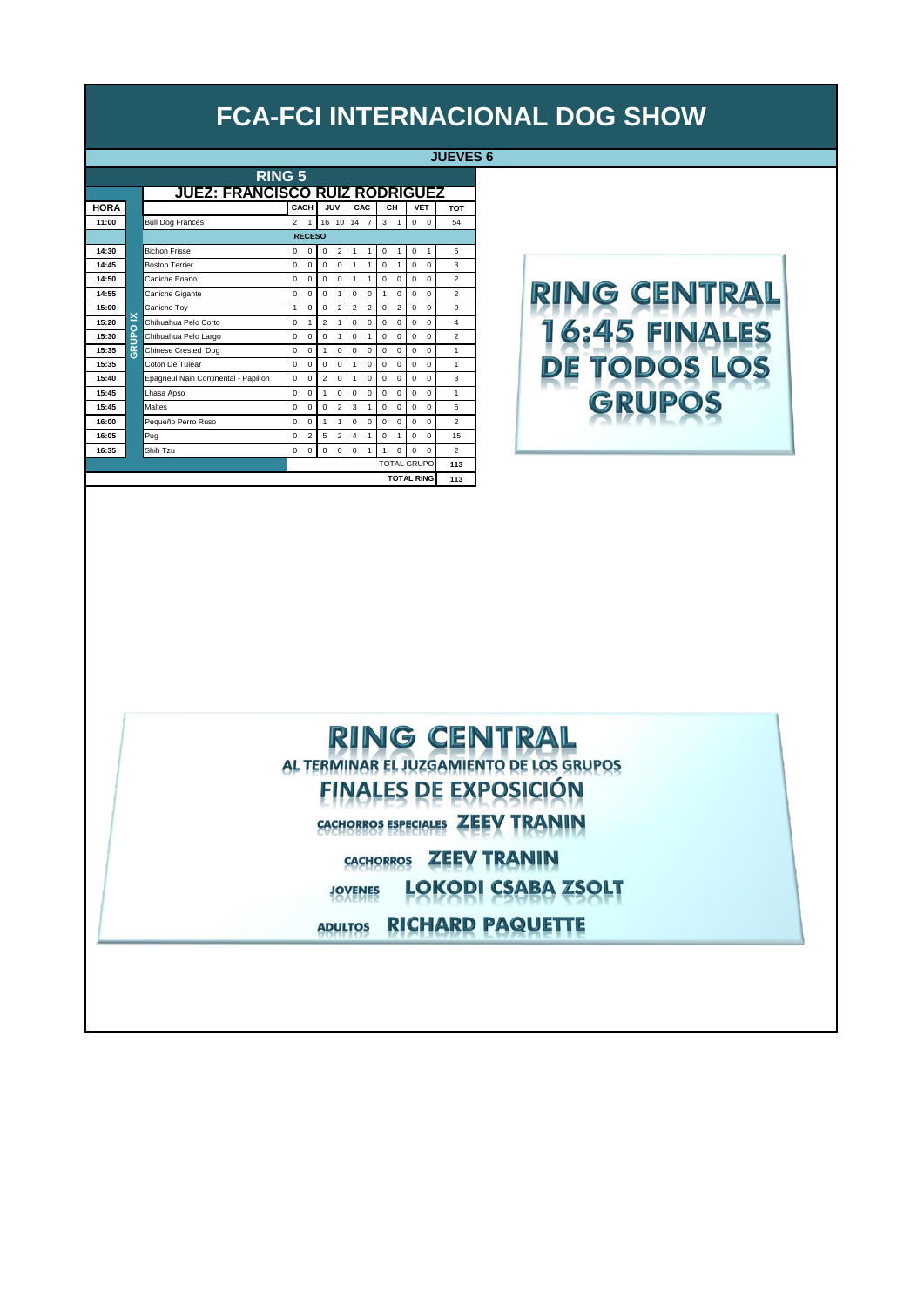**JUEVES 6**

| <b>RING 5</b> |                                       |                                      |                |                |                |                         |                 |                         |             |                |             |                    |                |  |  |
|---------------|---------------------------------------|--------------------------------------|----------------|----------------|----------------|-------------------------|-----------------|-------------------------|-------------|----------------|-------------|--------------------|----------------|--|--|
|               | <b>JUEZ: FRANCISCO RUIZ RODRIGUEZ</b> |                                      |                |                |                |                         |                 |                         |             |                |             |                    |                |  |  |
| <b>HORA</b>   |                                       |                                      |                | CACH           |                | JUV                     |                 | CAC                     |             | CH             |             | <b>VET</b>         | <b>TOT</b>     |  |  |
| 11:00         |                                       | <b>Bull Dog Francés</b>              | $\overline{2}$ | 1              |                | 16 10                   | 14 <sub>7</sub> |                         | 3           | $\mathbf{1}$   | $\mathbf 0$ | $\mathbf 0$        | 54             |  |  |
|               |                                       |                                      |                | <b>RECESO</b>  |                |                         |                 |                         |             |                |             |                    |                |  |  |
| 14:30         |                                       | <b>Bichon Frisse</b>                 | $\Omega$       | $\Omega$       | $\Omega$       | $\overline{2}$          | 1               | 1                       | $\mathbf 0$ | 1              | $\mathbf 0$ | 1                  | 6              |  |  |
| 14:45         |                                       | <b>Boston Terrier</b>                | $\Omega$       | $\Omega$       | $\Omega$       | $\Omega$                | 1               | 1                       | $\mathbf 0$ | 1              | $\mathbf 0$ | $\Omega$           | 3              |  |  |
| 14:50         |                                       | Caniche Enano                        | $\Omega$       | $\Omega$       | $\Omega$       | $\Omega$                | 1               | 1                       | $\Omega$    | $\Omega$       | $\Omega$    | $\Omega$           | $\overline{2}$ |  |  |
| 14:55         |                                       | Caniche Gigante                      | $\Omega$       | $\Omega$       | $\Omega$       | 1                       | $\Omega$        | $\Omega$                | 1           | $\Omega$       | $\Omega$    | $\Omega$           | $\overline{2}$ |  |  |
| 15:00         |                                       | Caniche Toy                          | 1              | $\Omega$       | $\Omega$       | $\overline{\mathbf{c}}$ | $\overline{2}$  | $\overline{\mathbf{c}}$ | $\Omega$    | $\overline{2}$ | 0           | $\Omega$           | 9              |  |  |
| 15:20         | ×<br>$\overline{O}$                   | Chihuahua Pelo Corto                 | $\Omega$       | 1              | $\overline{a}$ | 1                       | $\Omega$        | $\Omega$                | $\Omega$    | $\Omega$       | $\Omega$    | $\Omega$           | 4              |  |  |
| 15:30         | š                                     | Chihuahua Pelo Largo                 | $\Omega$       | $\Omega$       | $\Omega$       | 1                       | $\Omega$        | 1                       | 0           | $\Omega$       | $\Omega$    | $\Omega$           | $\overline{2}$ |  |  |
| 15:35         | $\bar{g}$                             | Chinese Crested Dog                  | $\Omega$       | $\Omega$       | 1              | $\Omega$                | $\Omega$        | $\Omega$                | $\Omega$    | $\Omega$       | 0           | $\Omega$           | 1              |  |  |
| 15:35         |                                       | Coton De Tulear                      | $\Omega$       | $\Omega$       | $\Omega$       | $\Omega$                | 1               | $\Omega$                | $\Omega$    | $\Omega$       | $\mathbf 0$ | $\Omega$           | $\mathbf{1}$   |  |  |
| 15:40         |                                       | Epagneul Nain Continental - Papillon | $\Omega$       | $\Omega$       | $\overline{a}$ | $\Omega$                | 1               | $\Omega$                | $\Omega$    | $\Omega$       | $\mathbf 0$ | $\Omega$           | 3              |  |  |
| 15:45         |                                       | Lhasa Apso                           | $\Omega$       | $\Omega$       | 1              | $\Omega$                | $\Omega$        | $\Omega$                | 0           | $\Omega$       | 0           | $\Omega$           | 1              |  |  |
| 15:45         |                                       | <b>Maltes</b>                        | $\Omega$       | $\Omega$       | $\Omega$       | $\overline{2}$          | 3               | 1                       | 0           | $\Omega$       | 0           | $\Omega$           | 6              |  |  |
| 16:00         |                                       | Pequeño Perro Ruso                   | $\Omega$       | $\Omega$       | 1              | 1                       | $\Omega$        | $\Omega$                | $\Omega$    | $\Omega$       | $\mathbf 0$ | $\Omega$           | $\overline{a}$ |  |  |
| 16:05         |                                       | Pug                                  | $\Omega$       | $\overline{2}$ | 5              | $\overline{a}$          | 4               | 1                       | 0           | 1              | 0           | $\Omega$           | 15             |  |  |
| 16:35         |                                       | Shih Tzu                             | 0              | $\mathbf 0$    | $\mathbf 0$    | 0                       | $\mathbf 0$     | $\mathbf{1}$            | 1           | $\Omega$       | $\Omega$    | $\Omega$           | $\overline{2}$ |  |  |
|               |                                       |                                      |                |                |                |                         |                 |                         |             |                |             | <b>TOTAL GRUPO</b> | 113            |  |  |
|               |                                       |                                      |                |                |                |                         |                 |                         |             |                |             | <b>TOTAL RING</b>  | 113            |  |  |

# **RING CENTRAL** 16:45 FINALES DE TODOS LOS **GRUPOS**

#### **RING CENTRAL** AL TERMINAR EL JUZGAMIENTO DE LOS GRUPOS **FINALES DE EXPOSICIÓN** CACHORROS ESPECIALES ZEEV TRANIN

CACHORROS ZEEV TRANIN **LOKODI CSABA ZSOLT JOVENES** 

ADULTOS RICHARD PAQUETTE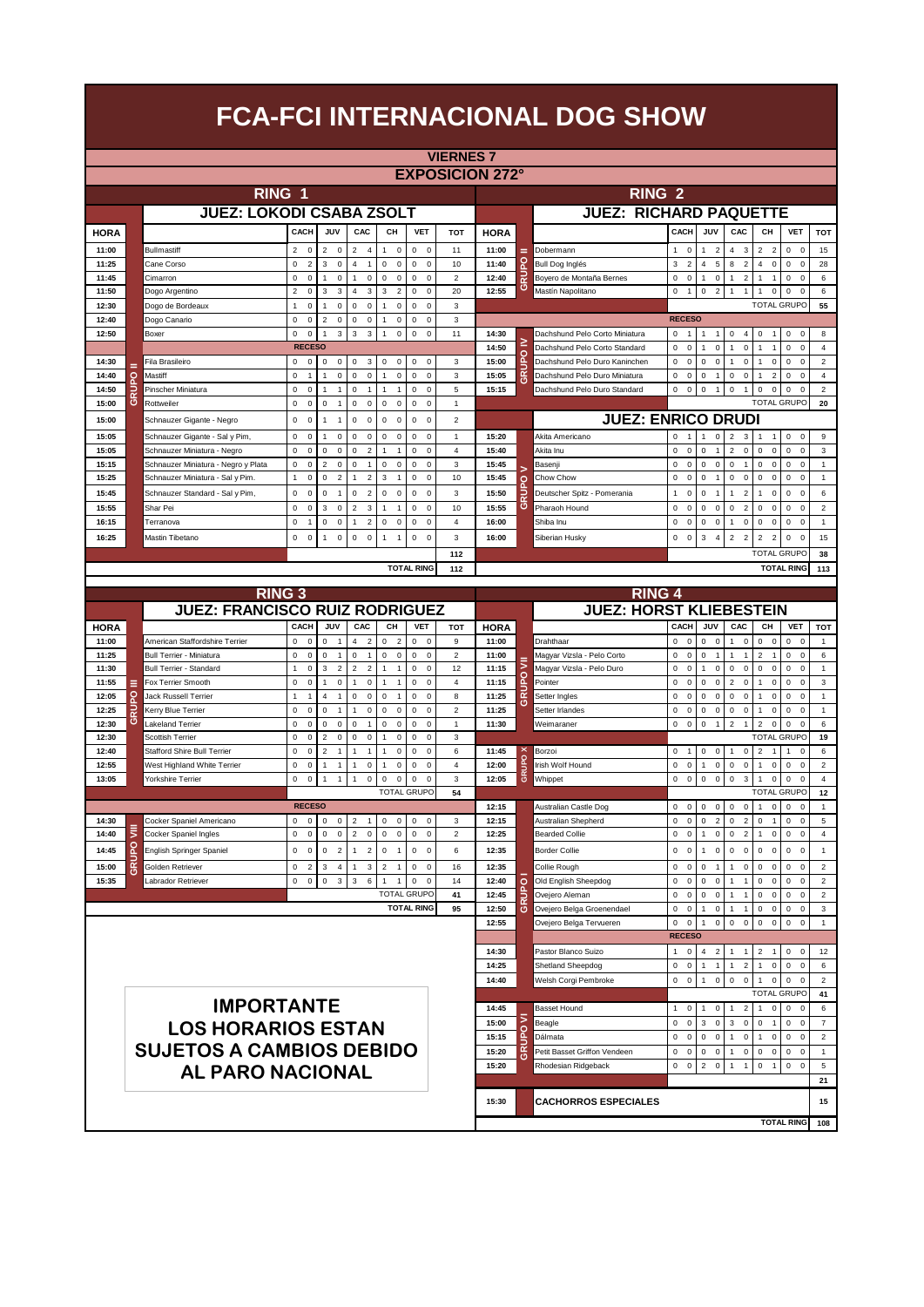|                |         |                                                                    |                                                |                                                   |                                              |                                                                |                                                          | <b>VIERNES 7</b>            |                        |                         |                                              |                                                                                           |                                                                                                                   |                                                          |                     |
|----------------|---------|--------------------------------------------------------------------|------------------------------------------------|---------------------------------------------------|----------------------------------------------|----------------------------------------------------------------|----------------------------------------------------------|-----------------------------|------------------------|-------------------------|----------------------------------------------|-------------------------------------------------------------------------------------------|-------------------------------------------------------------------------------------------------------------------|----------------------------------------------------------|---------------------|
|                |         |                                                                    |                                                |                                                   |                                              |                                                                |                                                          |                             | <b>EXPOSICION 272°</b> |                         |                                              |                                                                                           |                                                                                                                   |                                                          |                     |
|                |         | RING 1                                                             |                                                |                                                   |                                              |                                                                |                                                          |                             |                        |                         | <b>RING 2</b>                                |                                                                                           |                                                                                                                   |                                                          |                     |
|                |         | <b>JUEZ: LOKODI CSABA ZSOLT</b>                                    |                                                |                                                   |                                              |                                                                |                                                          |                             |                        |                         | <b>JUEZ: RICHARD PAQUETTE</b>                |                                                                                           |                                                                                                                   |                                                          |                     |
| <b>HORA</b>    |         |                                                                    | CACH                                           | JUV                                               | CAC                                          | CH                                                             | <b>VET</b>                                               | <b>TOT</b>                  | <b>HORA</b>            |                         |                                              | CACH<br>JUV                                                                               | CAC<br><b>CH</b>                                                                                                  | <b>VET</b>                                               | <b>TOT</b>          |
| 11:00          |         | Bullmastiff                                                        | $\overline{2}$<br>$\mathbf 0$                  | $\overline{2}$<br>$\mathsf 0$                     | $\overline{2}$<br>$\overline{4}$             | $\mathsf 0$<br>$\mathbf{1}$                                    | $\mathsf 0$<br>$\mathbf 0$                               | 11                          | 11:00                  | =                       | Dobermann                                    | $\mathbf 0$<br>$\overline{2}$<br>1<br>$\mathbf{1}$                                        | $\overline{2}$<br>$\overline{4}$<br>3<br>$\overline{2}$                                                           | $\mathbf 0$<br>$\mathbf 0$                               | 15                  |
| 11:25          |         | Cane Corso                                                         | 0<br>$\overline{\mathbf{c}}$                   | 3<br>$\mathsf 0$                                  | 4<br>$\overline{1}$                          | $\mathsf 0$<br>$\mathbf 0$                                     | $\mathsf 0$<br>$\mathbf 0$                               | 10                          | 11:40                  | ဥ                       | Bull Dog Inglés                              | $\mathsf 3$<br>$\overline{\mathbf{c}}$<br>$\overline{4}$<br>5                             | 8<br>$\overline{2}$<br>4<br>$\mathsf 0$                                                                           | $\mathsf 0$<br>$\mathbf 0$                               | 28                  |
| 11:45          |         | Cimarron                                                           | 0<br>$\pmb{0}$                                 | 1<br>0                                            | 1<br>0                                       | $\mathsf 0$<br>0                                               | $\mathsf 0$<br>$\mathbf 0$                               | 2                           | 12:40                  | <b>GRUI</b>             | Boyero de Montaña Bernes                     | $\mathsf 0$<br>$\mathbf 0$<br>$\mathsf 0$<br>$\overline{1}$                               | $\mathbf{1}$<br>$\overline{2}$<br>1<br>$\mathbf{1}$                                                               | $\mathsf 0$<br>$\mathbf 0$                               | 6                   |
| 11:50          |         | Dogo Argentino                                                     | $\overline{2}$<br>$\pmb{0}$                    | 3<br>3                                            | 3<br>4                                       | 3<br>$\overline{2}$                                            | $\mathsf 0$<br>$\mathbf 0$                               | 20                          | 12:55                  |                         | Mastín Napolitano                            | $\mathsf 0$<br>$\mathsf{o}\,$<br>$\overline{2}$<br>$\mathbf{1}$                           | $\mathsf 0$<br>$\mathbf{1}$<br>$\mathbf{1}$<br>1                                                                  | $\mathsf 0$<br>$\mathbf 0$                               | 6                   |
| 12:30          |         | Dogo de Bordeaux                                                   | $\pmb{0}$<br>1                                 | $\mathsf 0$<br>1                                  | 0<br>0                                       | $\mathbf{1}$<br>0                                              | $\mathsf 0$<br>$\mathbf 0$                               | 3                           |                        |                         |                                              | <b>RECESO</b>                                                                             |                                                                                                                   | <b>TOTAL GRUPO</b>                                       | 55                  |
| 12:40<br>12:50 |         | Dogo Canario<br>Boxer                                              | 0<br>0<br>0<br>$\pmb{0}$                       | $\overline{c}$<br>0<br>3<br>1                     | 0<br>0<br>3<br>3                             | $\overline{1}$<br>$\mathbf 0$<br>$\mathbf 0$<br>$\overline{1}$ | $\bf 0$<br>$\mathbf 0$<br>$\mathsf 0$<br>$\mathbf 0$     | 3<br>11                     | 14:30                  |                         | Dachshund Pelo Corto Miniatura               | $\mathbf 0$<br>$\overline{1}$<br>$\overline{1}$                                           | $\mathbf 0$<br>$\overline{4}$<br>$\mathsf 0$<br>$\mathbf{1}$                                                      | $\pmb{0}$<br>$\mathbf 0$                                 | 8                   |
|                |         |                                                                    | <b>RECESO</b>                                  |                                                   |                                              |                                                                |                                                          |                             | 14:50                  | ≥                       | Dachshund Pelo Corto Standard                | $\mathbf 0$<br>$\bf 0$<br>$\mathbf 0$                                                     | $\overline{1}$<br>$\mathbf 0$<br>$\overline{1}$                                                                   | 0<br>$\mathbf 0$                                         | $\sqrt{4}$          |
| 14:30          |         | Fila Brasileiro                                                    | $\mathsf 0$<br>0                               | $\mathsf 0$<br>0                                  | 0<br>3                                       | $\mathsf{O}\xspace$<br>$\mathsf 0$                             | $\mathsf 0$<br>$\mathbf 0$                               | 3                           | 15:00                  | GRUPO                   | Dachshund Pelo Duro Kanincher                | $\mathbf 0$<br>$\mathsf 0$<br>0<br>0                                                      | $\pmb{0}$<br>$\overline{1}$<br>0<br>1                                                                             | $\pmb{0}$<br>$\mathbf 0$                                 | $\overline{2}$      |
| 14:40          | $\circ$ | Mastiff                                                            | 0<br>$\overline{1}$                            | 0                                                 | 0<br>$\mathsf 0$                             | $\overline{1}$<br>$\mathbf 0$                                  | $\mathsf 0$<br>$\mathbf 0$                               | 3                           | 15:05                  |                         | Dachshund Pelo Duro Miniatura                | $\mathsf 0$<br>$\bf 0$<br>0<br>$\mathbf{1}$                                               | $\mathbf 0$<br>$\overline{2}$<br>$\mathsf{O}\xspace$<br>1                                                         | 0<br>$\mathbf 0$                                         | 4                   |
| 14:50          |         | Pinscher Miniatura                                                 | 0<br>$\pmb{0}$                                 | 1<br>$\mathbf{1}$                                 | 0<br>$\overline{1}$                          | $\mathbf{1}$<br>$\mathbf{1}$                                   | $\mathsf 0$<br>$\mathbf 0$                               | 5                           | 15:15                  |                         | Dachshund Pelo Duro Standard                 | $\mathsf 0$<br>$\bf 0$<br>$\mathsf 0$<br>$\mathbf{1}$                                     | $\mathsf 0$<br>$\mathsf 0$<br>$\mathbf{1}$<br>0                                                                   | $\mathsf 0$<br>$\mathbf 0$                               | $\overline{2}$      |
| 15:00          | ဖ       | Rottweiler                                                         | $\mathsf 0$<br>$\pmb{0}$                       | 0<br>$\mathbf{1}$                                 | 0<br>$\mathsf 0$                             | $\mathsf 0$<br>$\mathbf 0$                                     | $\mathsf 0$<br>$\mathbf 0$                               | 1                           |                        |                         |                                              |                                                                                           |                                                                                                                   | <b>TOTAL GRUPO</b>                                       | 20                  |
| 15:00          |         | Schnauzer Gigante - Negro                                          | $\mathsf 0$<br>$\mathbf 0$                     | 1<br>$\overline{1}$                               | 0<br>0                                       | $\mathsf 0$<br>$\mathbf 0$                                     | $\mathsf 0$<br>$\mathbf 0$                               | $\mathbf 2$                 |                        |                         | <b>JUEZ: ENRICO DRUDI</b>                    |                                                                                           |                                                                                                                   |                                                          |                     |
| 15:05          |         | Schnauzer Gigante - Sal y Pim,                                     | 0<br>0                                         | 1<br>0                                            | 0<br>0                                       | $\mathsf 0$<br>$\mathbf 0$                                     | $\mathsf 0$<br>$\mathbf 0$                               | 1                           | 15:20                  |                         | Akita Americano                              | $\mathbf 0$<br>$\mathbf{1}$<br>$\mathsf 0$<br>$\overline{1}$                              | $\overline{2}$<br>3<br>$\mathbf{1}$<br>$\mathbf{1}$                                                               | $\mathbf 0$<br>$\mathbf 0$                               | 9                   |
| 15:05<br>15:15 |         | Schnauzer Miniatura - Negro<br>Schnauzer Miniatura - Negro y Plata | 0<br>$\pmb{0}$<br>0<br>0                       | 0<br>0<br>$\overline{c}$<br>0                     | $\overline{2}$<br>0<br>0<br>$\overline{1}$   | $\overline{1}$<br>$\overline{1}$<br>$\mathsf 0$<br>0           | 0<br>$\mathbf 0$<br>$\bf 0$<br>$\mathbf 0$               | $\sqrt{4}$<br>3             | 15:40<br>15:45         |                         | Akita Inu<br>Basenji                         | $\mathbf 0$<br>$\bf 0$<br>$\mathbf 0$<br>$\mathsf 0$<br>$\mathsf 0$<br>0<br>0             | $\overline{2}$<br>$\mathbf 0$<br>0<br>$\bf 0$<br>$\mathsf 0$<br>0<br>$\mathbf{1}$<br>0                            | 0<br>$\mathbf 0$<br>$\mathsf 0$<br>$\mathbf 0$           | 3<br>1              |
| 15:25          |         | Schnauzer Miniatura - Sal y Pim.                                   | $\pmb{0}$<br>1                                 | 0<br>$\overline{2}$                               | $\overline{2}$<br>1                          | $\mathbf 3$<br>$\mathbf{1}$                                    | $\mathsf 0$<br>$\mathbf 0$                               | 10                          | 15:45                  | $\circ$                 | Chow Chow                                    | $\mathsf 0$<br>$\mathbf 0$<br>0<br>$\overline{1}$                                         | $\mathsf 0$<br>$\mathsf 0$<br>$\pmb{0}$<br>$\mathsf 0$                                                            | $\mathsf{o}\,$<br>$\mathbf 0$                            | $\mathbf{1}$        |
| 15:45          |         | Schnauzer Standard - Sal y Pim,                                    | $\mathsf{o}\,$<br>$\mathbf 0$                  | $\mathbf 0$<br>$\overline{1}$                     | 0<br>$\overline{2}$                          | $\mathsf 0$<br>$\mathbf 0$                                     | $\mathsf 0$<br>$\mathbf 0$                               | 3                           | 15:50                  |                         | Deutscher Spitz - Pomerania                  | $\mathbf{1}$<br>$\mathbf 0$<br>$\mathbf 0$<br>$\overline{1}$                              | $\mathbf{1}$<br>$\overline{2}$<br>1<br>$\pmb{0}$                                                                  | $\mathsf 0$<br>$\mathbf 0$                               | 6                   |
| 15:55          |         | Shar Pei                                                           | 0<br>0                                         | 3<br>0                                            | $\overline{c}$<br>3                          | $\mathbf{1}$<br>$\mathbf{1}$                                   | $\mathsf 0$<br>$\mathbf 0$                               | 10                          | 15:55                  | ဖ                       | Pharaoh Hound                                | $\mathsf 0$<br>0<br>0<br>$\mathbf 0$                                                      | $\mathsf 0$<br>$\overline{2}$<br>$\mathsf 0$<br>0                                                                 | 0<br>$\mathbf 0$                                         | $\mathbf 2$         |
| 16:15          |         | Terranova                                                          | 0<br>$\mathbf{1}$                              | 0<br>0                                            | $\overline{2}$<br>1                          | $\mathsf 0$<br>$\mathbf 0$                                     | $\mathsf 0$<br>$\mathbf 0$                               | 4                           | 16:00                  |                         | Shiba Inu                                    | $\mathsf 0$<br>$\bf 0$<br>$\mathsf 0$<br>$\mathbf 0$                                      | $\overline{1}$<br>$\mathbf 0$<br>$\mathsf 0$<br>$\mathsf 0$                                                       | $\mathsf 0$<br>$\mathbf 0$                               | $\mathbf{1}$        |
| 16:25          |         | Mastin Tibetano                                                    | 0<br>$\mathbf 0$                               | $\mathsf 0$<br>1                                  | $\mathsf 0$<br>$\mathsf 0$                   | $\mathbf{1}$<br>$\mathbf{1}$                                   | $\mathsf{O}\xspace$<br>$\overline{0}$                    | 3                           | 16:00                  |                         | Siberian Husky                               | $\mathsf 0$<br>$\overline{0}$<br>3<br>$\overline{4}$                                      | $\overline{2}$<br>$\mathbf 2$<br>$\overline{2}$<br>$\overline{2}$                                                 | $\mathsf 0$<br>$\mathbf 0$                               | 15                  |
|                |         |                                                                    |                                                |                                                   |                                              |                                                                |                                                          | 112                         |                        |                         |                                              |                                                                                           |                                                                                                                   | <b>TOTAL GRUPO</b>                                       | 38                  |
|                |         |                                                                    |                                                |                                                   |                                              |                                                                | <b>TOTAL RING</b>                                        | 112                         |                        |                         |                                              |                                                                                           |                                                                                                                   | <b>TOTAL RING</b>                                        | 113                 |
|                |         | <b>RING 3</b>                                                      |                                                |                                                   |                                              |                                                                |                                                          |                             |                        |                         | <b>RING 4</b>                                |                                                                                           |                                                                                                                   |                                                          |                     |
|                |         | <b>JUEZ: FRANCISCO RUIZ RODRIGUEZ</b>                              |                                                |                                                   |                                              |                                                                |                                                          |                             |                        |                         | <b>JUEZ: HORST KLIEBESTEIN</b>               |                                                                                           |                                                                                                                   |                                                          |                     |
| <b>HORA</b>    |         |                                                                    | CACH                                           | JUV                                               | CAC                                          | CН                                                             | <b>VET</b>                                               | <b>TOT</b>                  | <b>HORA</b>            |                         |                                              | CACH<br>JUV                                                                               | CAC<br>CН                                                                                                         | <b>VET</b>                                               | <b>TOT</b>          |
| 11:00          |         | American Staffordshire Terrier                                     | 0<br>0                                         | 0<br>$\mathbf{1}$                                 | 4<br>$\overline{2}$                          | 0<br>$\overline{2}$                                            | 0<br>$\mathbf 0$                                         | 9                           | 11:00                  |                         | Drahthaar                                    | 0<br>0<br>0<br>0                                                                          | $\mathbf{1}$<br>0<br>0<br>0                                                                                       | 0<br>$\mathbf 0$                                         | $\mathbf{1}$        |
|                |         | Bull Terrier - Miniatura                                           |                                                |                                                   |                                              |                                                                |                                                          |                             |                        |                         |                                              |                                                                                           |                                                                                                                   |                                                          | 6                   |
| 11:25          |         |                                                                    | 0<br>$\pmb{0}$                                 | 0<br>$\mathbf{1}$                                 | 0<br>$\overline{1}$                          | $\mathsf 0$<br>$\mathbf 0$                                     | $\mathsf 0$<br>$\mathbf 0$                               | $\overline{2}$              | 11:00                  |                         | Magyar Vizsla - Pelo Corto                   | $\pmb{0}$<br>$\bf 0$<br>0<br>$\overline{1}$                                               | $\overline{c}$<br>1<br>$\overline{1}$<br>$\mathbf{1}$                                                             | 0<br>$\mathbf 0$                                         |                     |
| 11:30          |         | Bull Terrier - Standard                                            | $\pmb{0}$<br>1                                 | 3<br>$\overline{2}$                               | $\overline{2}$<br>$\overline{2}$             | $\overline{1}$<br>$\mathbf{1}$                                 | $\mathsf 0$<br>$\mathbf 0$                               | 12                          | 11:15                  | ₹                       | Magyar Vizsla - Pelo Duro                    | $\mathsf 0$<br>$\mathbf 0$<br>$\mathsf 0$<br>$\mathbf{1}$                                 | $\mathsf 0$<br>$\mathsf 0$<br>$\pmb{0}$<br>0                                                                      | $\mathsf 0$<br>$\mathbf 0$                               | $\mathbf{1}$        |
| 11:55          | Ξ       | Fox Terrier Smooth                                                 | $\mathbf 0$<br>$\mathbf 0$                     | $\mathsf 0$<br>$\mathbf{1}$                       | 1<br>$\mathsf 0$                             | $\overline{1}$<br>$\mathbf{1}$                                 | $\mathbf 0$<br>$\mathbf 0$                               | $\overline{4}$              | 11:15                  | 요                       | Pointer                                      | $\mathsf 0$<br>$\mathbf 0$<br>$\mathbf 0$<br>$\mathsf 0$                                  | $\overline{2}$<br>$\mathbf 0$<br>$\mathsf 0$<br>1                                                                 | $\mathsf{o}\,$<br>$\mathbf 0$                            | $\mathsf 3$         |
| 12:05          | o       | Jack Russell Terrier                                               | 1<br>$\mathbf{1}$                              | $\overline{4}$<br>$\mathbf{1}$                    | 0<br>$\mathbf 0$                             | $\mathsf 0$<br>$\mathbf{1}$                                    | $\mathsf 0$<br>$\mathbf 0$                               | 8                           | 11:25                  | <b>GRU</b>              | Setter Ingles                                | $\mathbf 0$<br>$\mathsf 0$<br>$\mathbf 0$<br>$\mathsf 0$                                  | $\mathbf 0$<br>$\mathsf 0$<br>$\ddot{\mathbf{0}}$<br>1                                                            | $\mathsf 0$<br>0                                         | $\mathbf{1}$        |
| 12:25          | 귾<br>ပ  | Kerry Blue Terrier                                                 | 0<br>$\mathbf 0$                               | $\mathbf 0$<br>$\overline{1}$                     | $\mathbf 0$<br>1<br>$\overline{1}$           | $\mathsf{O}\xspace$<br>$\mathsf 0$                             | $\mathbf 0$<br>$\mathbf 0$                               | $\mathbf 2$<br>$\mathbf{1}$ | 11:25                  |                         | Setter Irlandes                              | $\mathsf 0$<br>$\mathbf 0$<br>$\mathsf 0$<br>$\mathsf 0$<br>$\overline{1}$                | $\mathbf 0$<br>$\mathsf 0$<br>$\mathsf 0$<br>1<br>$\overline{1}$                                                  | $\mathsf 0$<br>$\mathbf 0$<br>$\Omega$                   | $\mathbf{1}$        |
| 12:30<br>12:30 |         | Lakeland Terrier<br>Scottish Terrier                               | 0<br>$\mathbf 0$<br>$\mathbf 0$<br>$\mathbf 0$ | 0<br>$\mathsf 0$<br>$\overline{2}$<br>$\mathbf 0$ | 0<br>0<br>$\mathsf 0$                        | $\mathsf{O}\xspace$<br>$\mathsf 0$<br>$\mathbf 0$<br>1         | $\mathsf 0$<br>$\mathbf 0$<br>$\mathbf 0$<br>$\mathbf 0$ | 3                           | 11:30                  |                         | Weimaraner                                   | $\mathsf 0$<br>$\mathbf 0$<br>$\mathsf 0$                                                 | $\mathbf 2$<br>$\overline{2}$<br>$\mathsf 0$                                                                      | $\mathsf 0$<br><b>TOTAL GRUPC</b>                        | 6<br>19             |
| 12:40          |         | <b>Stafford Shire Bull Terrier</b>                                 | $\mathbf 0$<br>$\mathbf 0$                     | $\overline{2}$<br>$\overline{1}$                  | 1<br>$\overline{1}$                          | $\mathbf 0$<br>1                                               | $\mathbf 0$<br>$\mathbf 0$                               | 6                           | 11:45                  |                         | Borzoi                                       | $\mathsf 0$<br>$\mathbf 0$<br>$\mathsf 0$<br>$\overline{1}$                               | $\mathsf 0$<br>$\mathbf{1}$<br>$\overline{2}$<br>$\overline{1}$                                                   | $\mathbf 0$<br>1                                         | 6                   |
| 12:55          |         | West Highland White Terrier                                        | $\mathbf 0$<br>$\mathbf 0$                     | $\overline{1}$                                    | $\pmb{0}$<br>1                               | $\Omega$<br>1                                                  | $\mathbf 0$<br>$\mathbf 0$                               | $\overline{4}$              | 12:00                  |                         | Irish Wolf Hound                             | $\mathbf 0$<br>$\mathbf 0$<br>$\mathbf 0$<br>1                                            | $\mathbf 0$<br>$\mathbf 0$<br>$\bf 0$<br>1                                                                        | $\mathbf 0$<br>$\mathbf 0$                               | $\overline{2}$      |
| 13:05          |         | Yorkshire Terrier                                                  | 0<br>$\pmb{0}$                                 | $\mathbf{1}$                                      | $\mathbf 0$<br>1                             | 0<br>$\mathbf 0$                                               | $\mathsf 0$<br>$\mathbf 0$                               | 3                           | 12:05                  | GRUPO                   | Whippet                                      | $\mathbf 0$<br>$\bf 0$<br>0<br>$\mathsf 0$                                                | $\mathsf 0$<br>3<br>$\bf 0$<br>1                                                                                  | 0<br>$\Omega$                                            | 4                   |
|                |         |                                                                    |                                                |                                                   |                                              |                                                                | <b>TOTAL GRUPO</b>                                       | 54                          |                        |                         |                                              |                                                                                           |                                                                                                                   | <b>TOTAL GRUPC</b>                                       | 12                  |
|                |         |                                                                    | <b>RECESO</b>                                  |                                                   |                                              |                                                                |                                                          |                             | 12:15                  |                         | Australian Castle Dog                        | $\bf 0$<br>0<br>$\mathsf 0$<br>0                                                          | $\mathsf 0$<br>$\pmb{0}$<br>$\mathsf 0$<br>1                                                                      | 0<br>$\mathbf 0$                                         | $\mathbf{1}$        |
| 14:30<br>14:40 | ⋚       | Cocker Spaniel Americano<br>Cocker Spaniel Ingles                  | 0<br>0<br>0<br>$\pmb{0}$                       | 0<br>0<br>$\mathsf 0$<br>0                        | $\overline{2}$<br>$\mathbf 2$<br>$\mathsf 0$ | 0<br>0<br>$\mathsf{O}\xspace$<br>$\mathsf 0$                   | 0<br>$\mathbf 0$<br>$\mathsf 0$                          | 3<br>$\overline{2}$         | 12:15<br>12:25         |                         | Australian Shepherd<br><b>Bearded Collie</b> | $\pmb{0}$<br>$\overline{2}$<br>$\bf 0$<br>0<br>$\mathbf 0$<br>$\bf 0$<br>$\mathsf 0$<br>1 | $\mathsf 0$<br>$\overline{2}$<br>$\mathbf 0$<br>$\mathbf{1}$<br>$\overline{2}$<br>$\mathsf 0$<br>1<br>$\mathsf 0$ | 0<br>$\mathbf 0$<br>$\pmb{0}$<br>$\mathbf 0$             | 5<br>$\sqrt{4}$     |
| 14:45          | Δ       | English Springer Spaniel                                           | 0<br>$\mathbf 0$                               | $\mathbf 0$<br>$\overline{2}$                     | $\overline{2}$<br>1                          | $\mathsf{O}$<br>$\overline{1}$                                 | $\mathbf 0$<br>$\overline{\mathbf{0}}$                   | 6                           | 12:35                  |                         | <b>Border Collie</b>                         | $\pmb{0}$<br>$\overline{0}$<br>$\mathbf{1}$<br>0                                          | $\mathbf 0$<br>$\pmb{0}$<br>0<br>0                                                                                | $\mathbf 0$<br>$\overline{0}$                            | $\mathbf{1}$        |
| 15:00          |         | Golden Retriever                                                   | 0                                              | 3                                                 | 1                                            | $\overline{2}$<br>$\mathbf{1}$                                 | 0<br>$\mathbf 0$                                         | 16                          | 12:35                  |                         | Collie Rough                                 | $\mathsf 0$<br>0<br>0<br>$\overline{1}$                                                   | $\mathbf{1}$<br>$\pmb{0}$<br>0<br>$\mathsf 0$                                                                     | 0<br>$\mathbf 0$                                         | 2                   |
| 15:35          | O       | abrador Retriever                                                  | $\overline{c}$<br>0<br>$\pmb{0}$               | $\overline{4}$<br>$\mathbf 0$<br>3                | 3<br>3<br>6                                  | $\mathbf{1}$                                                   | 0<br>0                                                   | 14                          | 12:40                  | o                       | Old English Sheepdog                         | $\pmb{0}$<br>0<br>0<br>0                                                                  | 0<br>1<br>0                                                                                                       | 0                                                        | $\overline{2}$      |
|                |         |                                                                    |                                                |                                                   |                                              |                                                                | <b>TOTAL GRUPO</b>                                       | 41                          | 12:45                  |                         | Ovejero Aleman                               | $\mathsf 0$<br>$\mathsf 0$<br>0<br>0                                                      | $\mathbf{1}$<br>0<br>$\overline{1}$<br>0                                                                          | 0<br>$\mathbf 0$                                         | $\boldsymbol{2}$    |
|                |         |                                                                    |                                                |                                                   |                                              |                                                                | <b>TOTAL RING</b>                                        | 95                          | 12:50                  | ဖ                       | Ovejero Belga Groenendael                    | $\pmb{0}$<br>$\mathsf 0$<br>0                                                             | $\mathbf{1}$<br>0<br>0                                                                                            | $\mathbf 0$<br>$\mathbf 0$                               | 3                   |
|                |         |                                                                    |                                                |                                                   |                                              |                                                                |                                                          |                             | 12:55                  |                         | Ovejero Belga Tervueren                      | $\mathsf 0$<br>$\mathsf 0$<br>$\mathsf 0$                                                 | $\mathsf 0$<br>$\mathbf 0$<br>$\mathsf 0$<br>$\mathsf 0$                                                          | $\mathsf 0$<br>$\Omega$                                  | $\mathbf{1}$        |
|                |         |                                                                    |                                                |                                                   |                                              |                                                                |                                                          |                             |                        |                         |                                              | <b>RECESO</b>                                                                             |                                                                                                                   |                                                          |                     |
|                |         |                                                                    |                                                |                                                   |                                              |                                                                |                                                          |                             | 14:30                  |                         | Pastor Blanco Suizo                          | 0<br>4<br>2<br>1<br>$\mathbf 0$<br>$\mathbf{1}$<br>1                                      | 1<br>$\mathbf{1}$<br>2<br>$\mathbf{1}$<br>1                                                                       | 0<br>$\mathbf 0$                                         | 12                  |
|                |         |                                                                    |                                                |                                                   |                                              |                                                                |                                                          |                             | 14:25<br>14:40         |                         | Shetland Sheepdog<br>Welsh Corgi Pembroke    | $\mathsf 0$<br>$0\quad 0$<br>$\mathbf 0$<br>$\mathbf{1}$                                  | $\overline{2}$<br>$\mathsf 0$<br>$\mathbf{1}$<br>$\circ$<br>$\mathbf{0}$<br>$\mathsf 0$<br>$\mathbf{1}$           | $\mathbf 0$<br>$\mathbf 0$<br>$\mathbf 0$<br>$\mathbf 0$ | 6<br>$\overline{2}$ |
|                |         |                                                                    |                                                |                                                   |                                              |                                                                |                                                          |                             |                        |                         |                                              |                                                                                           |                                                                                                                   | <b>TOTAL GRUPO</b>                                       | 41                  |
|                |         | <b>IMPORTANTE</b>                                                  |                                                |                                                   |                                              |                                                                |                                                          |                             | 14:45                  |                         | Basset Hound                                 | $\mathsf 0$<br>0<br>1<br>$\overline{1}$                                                   | $\overline{c}$<br>$\mathbf 0$<br>$\overline{1}$<br>1                                                              | $\mathbf 0$<br>$\mathbf 0$                               | 6                   |
|                |         |                                                                    |                                                |                                                   |                                              |                                                                |                                                          |                             | 15:00                  |                         | Beagle                                       | $\mathsf 0$<br>$\mathsf 0$<br>3<br>$\mathsf 0$                                            | $\mathbf{3}$<br>$\mathsf 0$<br>$\mathsf 0$<br>$\mathbf{1}$                                                        | $\mathsf 0$<br>$\mathbf 0$                               | $\overline{7}$      |
|                |         | <b>LOS HORARIOS ESTAN</b>                                          |                                                |                                                   |                                              |                                                                |                                                          |                             | 15:15                  | 2                       | Dálmata                                      | $\mathbf 0$<br>$\mathbf 0$<br>$\mathsf 0$<br>0                                            | $\mathbf{1}$<br>$\mathbf 0$<br>$\mathsf 0$<br>1                                                                   | $\mathsf 0$<br>$\mathbf 0$                               | $\overline{2}$      |
|                |         | <b>SUJETOS A CAMBIOS DEBIDO</b>                                    |                                                |                                                   |                                              |                                                                |                                                          |                             | 15:20                  | $\frac{\alpha}{\sigma}$ | Petit Basset Griffon Vendeen                 | $\pmb{0}$<br>$\mathbf 0$<br>$\mathbf 0$<br>$\mathbf 0$                                    | $\mathsf 0$<br>$\mathbf{1}$<br>$\pmb{0}$<br>$\,0\,$                                                               | $\mathbf 0$<br>0                                         | $\mathbf{1}$        |
|                |         | <b>AL PARO NACIONAL</b>                                            |                                                |                                                   |                                              |                                                                |                                                          |                             | 15:20                  |                         | Rhodesian Ridgeback                          | $\mathsf 0$<br>$\sqrt{2}$<br>$\pmb{0}$<br>$\pmb{0}$                                       | $\mathsf 0$<br>$\mathbf{1}$<br>$\overline{1}$<br>$\mathbf{1}$                                                     | $\mathbf 0$<br>$\mathbf 0$                               | $\sqrt{5}$          |
|                |         |                                                                    |                                                |                                                   |                                              |                                                                |                                                          |                             |                        |                         |                                              |                                                                                           |                                                                                                                   |                                                          | 21                  |
|                |         |                                                                    |                                                |                                                   |                                              |                                                                |                                                          |                             | 15:30                  |                         | <b>CACHORROS ESPECIALES</b>                  |                                                                                           |                                                                                                                   |                                                          | 15                  |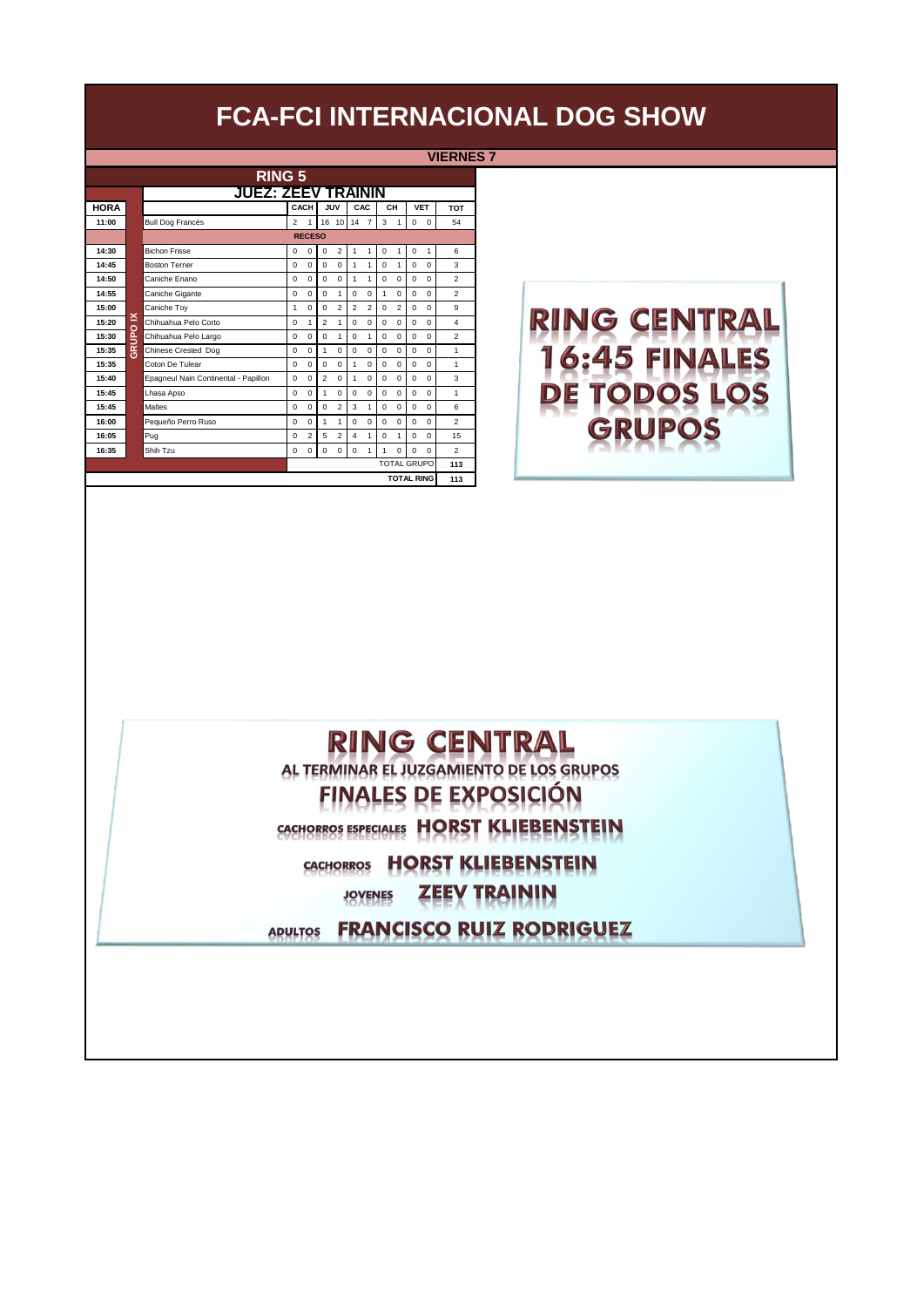**VIERNES 7**

| <b>RING 5</b> |             |                                      |                |                |                |                |                         |                |             |                |             |                    |                |  |  |
|---------------|-------------|--------------------------------------|----------------|----------------|----------------|----------------|-------------------------|----------------|-------------|----------------|-------------|--------------------|----------------|--|--|
|               |             | <b>JUEZ: ZEEV TRAININ</b>            |                |                |                |                |                         |                |             |                |             |                    |                |  |  |
| <b>HORA</b>   |             |                                      |                | CACH           |                | <b>JUV</b>     |                         | CAC            |             | CH             |             | <b>VET</b>         | <b>TOT</b>     |  |  |
| 11:00         |             | <b>Bull Dog Francés</b>              | $\overline{2}$ | 1              |                | 16 10          | 147                     |                | 3           | $\mathbf{1}$   | $\mathbf 0$ | $\mathbf 0$        | 54             |  |  |
|               |             |                                      |                | <b>RECESO</b>  |                |                |                         |                |             |                |             |                    |                |  |  |
| 14:30         |             | <b>Bichon Frisse</b>                 | $\mathbf 0$    | $\mathbf 0$    | $\mathbf 0$    | $\overline{2}$ | 1                       | 1              | $\mathbf 0$ | 1              | $\mathbf 0$ | 1                  | 6              |  |  |
| 14:45         |             | <b>Boston Terrier</b>                | $\Omega$       | $\Omega$       | $\Omega$       | $\Omega$       | 1                       | 1              | $\Omega$    | 1              | $\mathbf 0$ | $\Omega$           | 3              |  |  |
| 14:50         |             | Caniche Enano                        | $\Omega$       | $\Omega$       | $\Omega$       | $\Omega$       | 1                       | 1              | $\Omega$    | $\Omega$       | $\Omega$    | $\Omega$           | $\overline{2}$ |  |  |
| 14:55         |             | Caniche Gigante                      | $\Omega$       | $\Omega$       | $\Omega$       | 1              | $\Omega$                | $\Omega$       | 1           | $\Omega$       | $\mathbf 0$ | $\Omega$           | $\overline{2}$ |  |  |
| 15:00         |             | Caniche Toy                          | 1              | $\mathbf 0$    | $\Omega$       | $\overline{2}$ | $\overline{2}$          | $\overline{2}$ | $\mathbf 0$ | $\overline{2}$ | $\mathbf 0$ | 0                  | 9              |  |  |
| 15:20         | <b>NOLD</b> | Chihuahua Pelo Corto                 | $\Omega$       | 1              | $\overline{a}$ | 1              | $\Omega$                | $\Omega$       | $\Omega$    | $\Omega$       | $\Omega$    | $\Omega$           | $\Delta$       |  |  |
| 15:30         |             | Chihuahua Pelo Largo                 | $\mathbf 0$    | $\mathbf 0$    | $\Omega$       | 1              | $\Omega$                | 1              | $\Omega$    | $\Omega$       | $\mathbf 0$ | $\Omega$           | $\overline{2}$ |  |  |
| 15:35         | 훉           | Chinese Crested Dog                  | $\Omega$       | $\Omega$       | $\mathbf{1}$   | $\Omega$       | $\Omega$                | 0              | $\Omega$    | $\Omega$       | $\mathbf 0$ | $\Omega$           | $\mathbf{1}$   |  |  |
| 15:35         |             | Coton De Tulear                      | $\Omega$       | $\Omega$       | $\Omega$       | $\Omega$       | 1                       | 0              | $\Omega$    | $\Omega$       | $\Omega$    | $\Omega$           | 1              |  |  |
| 15:40         |             | Epagneul Nain Continental - Papillon | $\Omega$       | $\mathbf 0$    | $\mathfrak{p}$ | $\Omega$       | 1                       | 0              | $\Omega$    | $\Omega$       | $\Omega$    | $\Omega$           | 3              |  |  |
| 15:45         |             | Lhasa Apso                           | $\mathbf 0$    | $\mathbf 0$    | $\mathbf{1}$   | $\mathbf 0$    | 0                       | 0              | $\mathbf 0$ | 0              | $\mathbf 0$ | $\mathbf 0$        | 1              |  |  |
| 15:45         |             | <b>Maltes</b>                        | $\Omega$       | $\Omega$       | $\Omega$       | $\overline{a}$ | 3                       | 1              | $\Omega$    | $\Omega$       | $\mathbf 0$ | $\Omega$           | 6              |  |  |
| 16:00         |             | Pequeño Perro Ruso                   | 0              | $\mathbf 0$    | 1              | 1              | $\Omega$                | 0              | $\Omega$    | 0              | $\mathbf 0$ | $\Omega$           | $\overline{2}$ |  |  |
| 16:05         |             | Pug                                  | $\Omega$       | $\overline{2}$ | 5              | $\overline{a}$ | $\overline{\mathbf{4}}$ | 1              | $\Omega$    | 1              | $\Omega$    | $\Omega$           | 15             |  |  |
| 16:35         |             | Shih Tzu                             | $\Omega$       | $\Omega$       | $\Omega$       | $\Omega$       | $\Omega$                | 1              | 1           | $\Omega$       | $\Omega$    | $\Omega$           | $\overline{2}$ |  |  |
|               |             |                                      |                |                |                |                |                         |                |             |                |             | <b>TOTAL GRUPO</b> | 113            |  |  |
|               |             |                                      |                |                |                |                |                         |                |             |                |             | <b>TOTAL RING</b>  | 113            |  |  |

# **RING CENTRAL** 16:45 FINALES DE TODOS LOS **GRUPOS**

#### **RING CENTRAL** AL TERMINAR EL JUZGAMIENTO DE LOS GRUPOS **FINALES DE EXPOSICIÓN**

CACHORROS ESPECIALES HORST KLIEBENSTEIN

CACHORROS HORST KLIEBENSTEIN

**ZEEV TRAININ JOVENES** 

ADULTOS FRANCISCO RUIZ RODRIGUEZ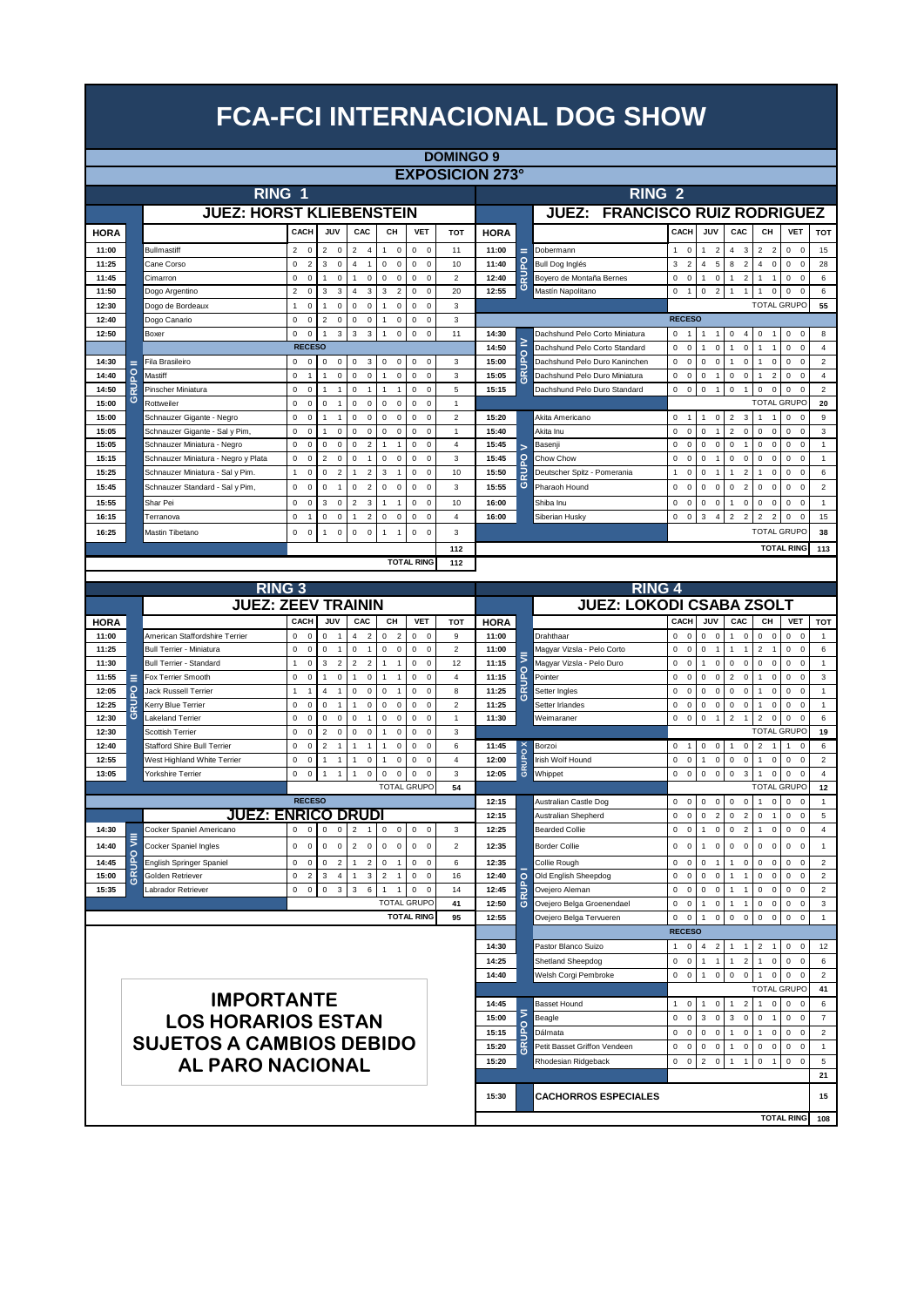|                |         |                                                             |                                         |                                                   |                                                                    |                                                           |                                                | <b>DOMINGO 9</b>                 |                        |                         |                                  |                                         |                                                            |                                                            |                                                                            |                                                            |                         |
|----------------|---------|-------------------------------------------------------------|-----------------------------------------|---------------------------------------------------|--------------------------------------------------------------------|-----------------------------------------------------------|------------------------------------------------|----------------------------------|------------------------|-------------------------|----------------------------------|-----------------------------------------|------------------------------------------------------------|------------------------------------------------------------|----------------------------------------------------------------------------|------------------------------------------------------------|-------------------------|
|                |         |                                                             |                                         |                                                   |                                                                    |                                                           |                                                |                                  | <b>EXPOSICION 273°</b> |                         |                                  |                                         |                                                            |                                                            |                                                                            |                                                            |                         |
|                |         | RING <sub>1</sub>                                           |                                         |                                                   |                                                                    |                                                           |                                                |                                  |                        |                         | <b>RING 2</b>                    |                                         |                                                            |                                                            |                                                                            |                                                            |                         |
|                |         | <b>JUEZ: HORST KLIEBENSTEIN</b>                             |                                         |                                                   |                                                                    |                                                           |                                                |                                  |                        |                         | JUEZ: FRANCISCO RUIZ RODRIGUEZ   |                                         |                                                            |                                                            |                                                                            |                                                            |                         |
|                |         |                                                             | CACH                                    | JUV                                               | CAC                                                                | CН                                                        | <b>VET</b>                                     | <b>TOT</b>                       |                        |                         |                                  | CACH                                    | JUV                                                        | CAC                                                        | CН                                                                         | <b>VET</b>                                                 | <b>TOT</b>              |
| <b>HORA</b>    |         |                                                             |                                         |                                                   |                                                                    |                                                           |                                                |                                  | <b>HORA</b>            |                         |                                  |                                         |                                                            |                                                            |                                                                            |                                                            |                         |
| 11:00<br>11:25 |         | <b>Bullmastiff</b><br>Cane Corso                            | $\mathsf 0$<br>2<br>$\overline{2}$<br>0 | $\overline{c}$<br>$\mathbf 0$<br>3<br>$\mathsf 0$ | $\overline{2}$<br>$\overline{4}$<br>$\overline{4}$<br>$\mathbf{1}$ | $\mathsf 0$<br>$\mathbf{1}$<br>$\mathbf 0$<br>$\mathsf 0$ | $\mathbf 0$<br>$\mathsf 0$<br>$\mathbf 0$<br>0 | 11<br>10                         | 11:00<br>11:40         | Ξ                       | Dobermann<br>Bull Dog Inglés     | $\mathbf 0$<br>1<br>3<br>$\overline{2}$ | $\overline{2}$<br>$\overline{1}$<br>5<br>$\overline{4}$    | 3<br>4<br>$\overline{2}$<br>8                              | $\overline{2}$<br>$\overline{\mathbf{c}}$<br>$\mathbf 0$<br>$\overline{4}$ | $\mathbf 0$<br>$\mathsf 0$<br>$\mathsf 0$<br>$\mathsf 0$   | 15<br>28                |
| 11:45          |         | Cimarron                                                    | $\mathbf 0$<br>0                        | $\mathbf{1}$<br>$\mathsf 0$                       | $\mathbf{1}$<br>$\mathbf 0$                                        | $\mathsf 0$<br>$\mathsf 0$                                | $\mathsf 0$<br>$\mathsf 0$                     | $\mathbf 2$                      | 12:40                  | <b>RUPO</b>             | Boyero de Montaña Bernes         | $\mathsf 0$<br>0                        | $\mathsf 0$<br>$\mathbf{1}$                                | $\overline{2}$<br>$\mathbf{1}$                             | $\mathbf{1}$<br>$\mathbf{1}$                                               | $\mathsf 0$<br>$\mathsf 0$                                 | $\,6\,$                 |
| 11:50          |         | Dogo Argentino                                              | $\overline{2}$<br>$\mathsf 0$           | 3<br>3                                            | $\overline{4}$<br>3                                                | 3<br>$\overline{2}$                                       | $\mathbf 0$<br>$\mathsf 0$                     | 20                               | 12:55                  | ဖ                       | <b>Mastín Napolitano</b>         | 0<br>$\overline{1}$                     | $\overline{2}$<br>$\mathsf 0$                              | $\mathbf{1}$<br>1                                          | $\mathbf 0$<br>1                                                           | $\mathsf 0$<br>$\Omega$                                    | 6                       |
| 12:30          |         | Dogo de Bordeaux                                            | $\mathsf 0$<br>1                        | $\mathsf 0$<br>1                                  | $\mathsf 0$<br>$\mathbf 0$                                         | $\mathsf 0$<br>$\mathbf{1}$                               | $\mathbf 0$<br>$\mathsf 0$                     | 3                                |                        |                         |                                  |                                         |                                                            |                                                            | <b>TOTAL GRUPO</b>                                                         |                                                            | 55                      |
| 12:40          |         | Dogo Canario                                                | 0<br>$\mathsf 0$                        | $\overline{2}$<br>$\mathsf 0$                     | $\mathsf 0$<br>$\mathsf 0$                                         | $\pmb{0}$<br>1                                            | $\mathbf 0$<br>$\mathsf 0$                     | 3                                |                        |                         |                                  | <b>RECESO</b>                           |                                                            |                                                            |                                                                            |                                                            |                         |
| 12:50          |         | Boxer                                                       | 0<br>$\mathsf 0$                        | $\mathbf{3}$<br>$\overline{1}$                    | $\ensuremath{\mathsf{3}}$<br>$\mathbf{3}$                          | $\mathsf 0$<br>1                                          | $\mathsf 0$<br>$\mathsf 0$                     | 11                               | 14:30                  |                         | Dachshund Pelo Corto Miniatura   | $\mathsf 0$<br>$\overline{1}$           | $\mathbf{1}$<br>$\mathbf{1}$                               | 0<br>4                                                     | $\mathsf 0$<br>$\mathbf{1}$                                                | $\mathsf 0$<br>0                                           | 8                       |
|                |         |                                                             | <b>RECESO</b>                           |                                                   |                                                                    |                                                           |                                                |                                  | 14:50                  | ≥                       | Dachshund Pelo Corto Standard    | 0<br>$\mathbf 0$                        | $\mathbf 0$<br>1                                           | $\mathbf 0$                                                | $\mathbf{1}$<br>1                                                          | $\mathsf{o}\,$<br>$\mathbf 0$                              | $\overline{4}$          |
| 14:30          | о       | Fila Brasileiro                                             | $\mathbf 0$<br>$\mathsf 0$              | $\mathsf 0$<br>$\mathsf 0$                        | $\mathsf 0$<br>3                                                   | $\mathsf 0$<br>0                                          | 0<br>0                                         | 3                                | 15:00                  | GRUPO                   | Dachshund Pelo Duro Kaninchen    | 0<br>$\mathsf 0$                        | $\mathbf 0$<br>$\pmb{0}$                                   | 0<br>1                                                     | $\pmb{0}$<br>$\mathbf{1}$                                                  | $\mathbf 0$<br>0                                           | $\overline{2}$          |
| 14:40          |         | Mastiff                                                     | 0<br>$\overline{1}$                     | $\mathsf 0$<br>1                                  | $\mathsf 0$<br>$\mathsf 0$                                         | $\mathsf 0$<br>$\mathbf{1}$                               | $\mathbf 0$<br>$\mathsf 0$                     | 3                                | 15:05                  |                         | Dachshund Pelo Duro Miniatura    | 0<br>$\mathsf 0$                        | $\pmb{0}$<br>$\mathbf{1}$                                  | $\mathsf{o}\,$<br>0                                        | $\overline{\mathbf{c}}$<br>$\overline{1}$                                  | $\mathbf 0$<br>$\mathbf 0$                                 | $\sqrt{4}$              |
| 14:50          | ဖ       | Pinscher Miniatura                                          | $\mathbf 0$<br>0                        | $\overline{1}$<br>$\overline{1}$                  | $\mathsf 0$<br>$\overline{1}$                                      | $\mathbf{1}$<br>$\mathbf{1}$                              | $\mathsf 0$<br>$\mathsf 0$                     | 5                                | 15:15                  |                         | Dachshund Pelo Duro Standard     | 0<br>$\,0\,$                            | $\pmb{0}$<br>$\mathbf{1}$                                  | $\mathsf 0$<br>$\mathbf{1}$                                | $\mathsf 0$<br>$\mathbf 0$<br><b>TOTAL GRUPO</b>                           | $\mathbf 0$<br>$\Omega$                                    | $\overline{2}$          |
| 15:00<br>15:00 |         | Rottweiler                                                  | $\mathbf 0$<br>$\mathsf 0$<br>0         | 0<br>$\overline{1}$<br>1                          | $\mathsf 0$<br>$\mathbf 0$<br>$\mathsf 0$                          | $\mathsf 0$<br>$\mathsf 0$<br>$\mathsf{O}\xspace$         | 0<br>$\mathsf 0$<br>$\mathsf 0$<br>$\Omega$    | $\mathbf{1}$                     |                        |                         | Akita Americano                  |                                         |                                                            |                                                            |                                                                            |                                                            | 20                      |
| 15:05          |         | Schnauzer Gigante - Negro<br>Schnauzer Gigante - Sal y Pim, | $\mathbf 0$<br>0<br>$\mathbf 0$         | $\mathbf{1}$<br>$\mathsf 0$<br>1                  | $\mathbf 0$<br>$\mathsf 0$<br>$\mathbf 0$                          | 0<br>$\mathbf 0$<br>$\mathsf 0$                           | $\mathsf 0$<br>$\Omega$                        | $\boldsymbol{2}$<br>$\mathbf{1}$ | 15:20<br>15:40         |                         | Akita Inu                        | 0<br>$\overline{1}$<br>$\mathsf 0$<br>0 | $\mathbf 0$<br>$\mathbf{1}$<br>$\mathsf 0$<br>$\mathbf{1}$ | $\overline{2}$<br>3<br>$\overline{2}$<br>$\mathbf 0$       | $\mathbf{1}$<br>$\overline{1}$<br>$\mathbf 0$<br>$\mathbf 0$               | $\mathbf 0$<br>$^{\circ}$<br>$\mathsf{o}\,$<br>$\mathbf 0$ | 9<br>$\mathsf 3$        |
| 15:05          |         | Schnauzer Miniatura - Negro                                 | 0<br>$\mathsf 0$                        | 0<br>$\mathbf 0$                                  | $\mathsf 0$<br>$\overline{2}$                                      | $\mathbf{1}$<br>$\overline{1}$                            | $\mathbf 0$<br>$\mathbf 0$                     | $\overline{4}$                   | 15:45                  |                         | Basenji                          | 0<br>$\mathbf 0$                        | $\mathsf 0$<br>$\mathsf 0$                                 | $\mathbf 0$<br>$\mathbf{1}$                                | $\mathbf 0$<br>$\mathbf 0$                                                 | $\mathsf 0$<br>$\mathbf 0$                                 | $\mathbf{1}$            |
| 15:15          |         | Schnauzer Miniatura - Negro y Plata                         | 0<br>$\mathbf 0$                        | $\overline{2}$<br>$\mathbf 0$                     | $\mathbf 0$<br>$\overline{1}$                                      | $\mathbf 0$<br>$\pmb{0}$                                  | $\mathbf 0$<br>$\mathbf 0$                     | 3                                | 15:45                  | $\overline{5}$          | Chow Chow                        | 0<br>$\mathbf 0$                        | $\mathbf 0$<br>-1                                          | 0<br>$\mathbf 0$                                           | 0<br>$\mathbf 0$                                                           | $\mathsf{o}\,$<br>$\mathbf 0$                              | $\overline{1}$          |
| 15:25          |         | Schnauzer Miniatura - Sal y Pim.                            | $\mathbf 0$<br>1                        | 0<br>$\overline{2}$                               | $\overline{2}$<br>-1                                               | 3<br>$\mathbf{1}$                                         | $\mathbf 0$<br>$\mathbf 0$                     | 10                               | 15:50                  |                         | Deutscher Spitz - Pomerania      | $\mathsf 0$<br>1                        | $\pmb{0}$<br>$\mathbf{1}$                                  | $\overline{2}$                                             | $\mathbf 0$<br>1                                                           | $\mathsf 0$<br>$\Omega$                                    | $\,6\,$                 |
| 15:45          |         | Schnauzer Standard - Sal y Pim,                             | 0<br>$\mathbf 0$                        | 0<br>$\mathbf{1}$                                 | $\mathsf 0$<br>$\overline{2}$                                      | $\mathsf 0$<br>$\mathbf 0$                                | 0<br>$\mathbf 0$                               | 3                                | 15:55                  | ဖ                       | Pharaoh Hound                    | 0<br>$\mathbf 0$                        | $\mathsf 0$<br>$\mathbf 0$                                 | 0<br>$\overline{2}$                                        | $\mathbf 0$<br>0                                                           | $\mathsf 0$<br>$\Omega$                                    | $\overline{2}$          |
| 15:55          |         | Shar Pei                                                    | $\mathbf 0$<br>$\mathsf 0$              | 3<br>$\mathsf 0$                                  | $\overline{2}$<br>3                                                | $\mathbf{1}$<br>$\overline{1}$                            | $\mathbf 0$<br>$\mathsf 0$                     | 10                               | 16:00                  |                         | Shiba Inu                        | 0<br>$\bf 0$                            | $\pmb{0}$<br>$\mathsf 0$                                   | 0<br>1                                                     | $\mathsf 0$<br>$\mathbf 0$                                                 | $\pmb{0}$<br>$\mathbf 0$                                   | $\mathbf{1}$            |
| 16:15          |         | Terranova                                                   | $\mathbf 0$<br>$\overline{1}$           | 0<br>$\bf 0$                                      | $\mathbf{1}$<br>$\overline{2}$                                     | 0<br>$\pmb{0}$                                            | 0<br>$\mathbf 0$                               | $\sqrt{4}$                       | 16:00                  |                         | Siberian Husky                   | $\mathbf 0$<br>$\mathbf 0$              | 3<br>$\sqrt{4}$                                            | $\overline{c}$<br>$\overline{2}$                           | $\overline{2}$<br>$\overline{2}$                                           | $\mathbf 0$<br>$\mathbf 0$                                 | 15                      |
| 16:25          |         | Mastin Tibetano                                             | 0<br>0                                  | $\bf 0$<br>1                                      | $\mathsf 0$<br>$\pmb{0}$                                           | $\mathbf{1}$<br>$\overline{1}$                            | 0<br>$\mathbf 0$                               | 3                                |                        |                         |                                  |                                         |                                                            |                                                            | <b>TOTAL GRUPO</b>                                                         |                                                            | 38                      |
|                |         |                                                             |                                         |                                                   |                                                                    |                                                           |                                                | 112                              |                        |                         |                                  |                                         |                                                            |                                                            |                                                                            | <b>TOTAL RING</b>                                          | 113                     |
|                |         |                                                             |                                         |                                                   |                                                                    |                                                           | <b>TOTAL RING</b>                              | 112                              |                        |                         |                                  |                                         |                                                            |                                                            |                                                                            |                                                            |                         |
|                |         |                                                             |                                         |                                                   |                                                                    |                                                           |                                                |                                  |                        |                         |                                  |                                         |                                                            |                                                            |                                                                            |                                                            |                         |
|                |         | <b>RING 3</b>                                               |                                         |                                                   |                                                                    |                                                           |                                                |                                  |                        |                         | <b>RING 4</b>                    |                                         |                                                            |                                                            |                                                                            |                                                            |                         |
|                |         | <b>JUEZ: ZEEV TRAININ</b>                                   |                                         |                                                   |                                                                    |                                                           |                                                |                                  |                        |                         | <b>JUEZ: LOKODI CSABA ZSOLT</b>  |                                         |                                                            |                                                            |                                                                            |                                                            |                         |
| <b>HORA</b>    |         |                                                             | CACH                                    | JUV                                               | CAC                                                                | CН                                                        | <b>VET</b>                                     | <b>TOT</b>                       | <b>HORA</b>            |                         |                                  | CACH                                    | JUV                                                        | CAC                                                        | CH                                                                         | <b>VET</b>                                                 | TOT                     |
| 11:00          |         | American Staffordshire Terrier                              | 0<br>$\mathbf 0$                        | 0<br>$\overline{1}$                               | $\overline{4}$<br>$\overline{2}$                                   | 0<br>$\overline{2}$                                       | $\mathbf{0}$<br>$\mathbf 0$                    | 9                                | 11:00                  |                         | Drahthaar                        | $\mathbf 0$<br>$\Omega$                 | $\overline{0}$<br>$\Omega$                                 | $\mathbf 0$<br>1                                           | $\mathbf 0$<br>$\mathbf 0$                                                 | $\mathbf 0$<br>$\mathbf 0$                                 | $\overline{1}$          |
| 11:25          |         | <b>Bull Terrier - Miniatura</b>                             | 0<br>$\mathbf 0$                        | 0<br>$\overline{1}$                               | $\mathsf 0$<br>$\overline{1}$                                      | 0<br>$\mathsf 0$                                          | $\mathbf 0$<br>$\mathbf 0$                     | 2                                | 11:00                  |                         | Magyar Vizsla - Pelo Corto       | 0<br>$\mathbf 0$                        | $\mathsf 0$<br>$\overline{1}$                              | $\overline{1}$<br>1                                        | 2<br>$\overline{1}$                                                        | $\mathsf 0$<br>$\mathbf 0$                                 | $\,6\,$                 |
| 11:30          |         | Bull Terrier - Standard                                     | 1<br>$\mathbf 0$                        | 3<br>$\overline{2}$                               | $\overline{2}$<br>$\overline{2}$                                   | 1<br>$\overline{1}$                                       | $\mathbf 0$<br>$\pmb{0}$                       | 12                               | 11:15                  |                         | Magyar Vizsla - Pelo Duro        | 0<br>$\bf 0$                            | $\pmb{0}$<br>$\mathbf{1}$                                  | 0<br>$\mathbf 0$                                           | 0<br>$\mathbf 0$                                                           | 0<br>$\mathbf 0$                                           | 1                       |
| 11:55          | о       | Fox Terrier Smooth                                          | 0<br>$\pmb{0}$<br>1                     | $\bf 0$<br>1<br>4<br>$\overline{1}$               | $\pmb{0}$<br>$\overline{1}$                                        | $\overline{1}$<br>1<br>$\Omega$                           | $\mathbf 0$<br>0                               | 4                                | 11:15                  | <b>RUPO</b>             | Pointer                          | $\mathsf 0$<br>$\Omega$                 | $\pmb{0}$<br>$\pmb{0}$                                     | 2<br>$\mathbf 0$                                           | $\mathbf 0$<br>1                                                           | 0<br>$\Omega$                                              | 3                       |
| 12:05<br>12:25 |         | Jack Russell Terrier<br>Kerry Blue Terrier                  | $\overline{1}$<br>0<br>$\mathbf 0$      | 0<br>$\overline{1}$                               | $\mathbf 0$<br>$\pmb{0}$<br>$\pmb{0}$<br>$\overline{1}$            | $\mathbf{1}$<br>0<br>0                                    | $\mathbf 0$<br>$\Omega$<br>$\mathbf 0$<br>0    | 8<br>$\overline{\mathbf{c}}$     | 11:25<br>11:25         | ဖ                       | Setter Ingles<br>Setter Irlandes | 0<br>$\mathbf 0$<br>$\Omega$<br>0       | 0<br>$\mathbf 0$<br>$\mathsf 0$<br>$\pmb{0}$               | 0<br>$\mathbf 0$<br>0<br>0                                 | $\mathbf 0$<br>1<br>$\mathbf 0$<br>1                                       | 0<br>$\Omega$<br>0<br>$\Omega$                             | 1<br>1                  |
| 12:30          | ဖ       | <b>Lakeland Terrier</b>                                     | 0<br>0                                  | 0<br>$\mathsf 0$                                  | $\mathsf 0$<br>$\mathbf{1}$                                        | $\pmb{0}$<br>0                                            | $\mathsf 0$<br>0                               | 1                                | 11:30                  |                         | Weimaraner                       | 0<br>$\bf 0$                            | $\mathsf 0$<br>$\mathbf{1}$                                | $\overline{c}$<br>$\mathbf{1}$                             | $\overline{2}$<br>$\mathbf 0$                                              | $\pmb{0}$<br>0                                             | 6                       |
| 12:30          |         | <b>Scottish Terrier</b>                                     | 0<br>0                                  | $\overline{c}$<br>0                               | $\mathsf 0$<br>$\pmb{0}$                                           | 0                                                         | $\pmb{0}$<br>$\Omega$                          | 3                                |                        |                         |                                  |                                         |                                                            |                                                            | <b>TOTAL GRUPO</b>                                                         |                                                            | 19                      |
| 12:40          |         | <b>Stafford Shire Bull Terrier</b>                          | $\mathsf 0$<br>$\mathsf 0$              | $\overline{c}$<br>$\overline{1}$                  | $\overline{1}$<br>$\mathbf{1}$                                     | $\pmb{0}$<br>$\mathbf{1}$                                 | $\mathbf 0$<br>$\pmb{0}$                       | 6                                | 11:45                  | $\overline{\mathbf{x}}$ | Borzoi                           | 0<br>$\overline{1}$                     | $\mathsf 0$<br>$\pmb{0}$                                   | 1<br>$\Omega$                                              | $\overline{2}$<br>$\overline{1}$                                           | $\mathbf{1}$<br>$\Omega$                                   | 6                       |
| 12:55          |         | West Highland White Terrier                                 | 0<br>0                                  | $\mathbf{1}$<br>1                                 | $\pmb{0}$<br>$\mathbf{1}$                                          | $\pmb{0}$<br>1                                            | $\mathbf 0$<br>$\mathbf 0$                     | $\sqrt{4}$                       | 12:00                  | GRUPO                   | Irish Wolf Hound                 | $\mathsf 0$<br>$\overline{0}$           | $\pmb{0}$<br>$\mathbf{1}$                                  | $\mathsf{O}\xspace$<br>$\mathsf 0$                         | $\mathbf 0$<br>$\mathbf{1}$                                                | $\mathbf 0$<br>$\mathbf 0$                                 | $\overline{2}$          |
| 13:05          |         | Yorkshire Terrier                                           | 0<br>$\pmb{0}$                          | $\overline{1}$<br>1                               | $\mathsf 0$<br>$\overline{1}$                                      | $\mathsf 0$<br>$\pmb{0}$                                  | $\pmb{0}$<br>$\Omega$                          | 3                                | 12:05                  |                         | Whippet                          | $\mathsf 0$<br>$\,0\,$                  | $\mathbf 0$<br>$\mathbf 0$                                 | $\mathsf 3$<br>$\mathbf 0$                                 | 1<br>$\pmb{0}$                                                             | $\pmb{0}$<br>$\mathbf 0$                                   | $\sqrt{4}$              |
|                |         |                                                             |                                         |                                                   |                                                                    |                                                           | <b>TOTAL GRUPO</b>                             | 54                               |                        |                         |                                  |                                         |                                                            |                                                            | <b>TOTAL GRUPO</b>                                                         |                                                            | 12                      |
|                |         |                                                             | <b>RECESO</b>                           |                                                   |                                                                    |                                                           |                                                |                                  | 12:15                  |                         | Australian Castle Dog            | $\mathsf 0$<br>$\Omega$                 | $\mathsf 0$<br>$\mathbf 0$                                 | $\mathsf 0$<br>$\mathbf 0$                                 | $\mathbf{1}$<br>$\mathbf 0$                                                | $\mathsf 0$<br>$\overline{0}$                              | $\mathbf{1}$            |
|                |         | <b>JUEZ: ENRICO DRUD</b>                                    |                                         |                                                   |                                                                    |                                                           |                                                |                                  | 12:15                  |                         | Australian Shepherd              | $\mathsf 0$<br>$\Omega$                 | $\pmb{0}$<br>$\overline{2}$                                | 0<br>$\overline{2}$                                        | $\mathsf 0$<br>$\overline{1}$                                              | 0<br>$\mathbf 0$                                           | $\sqrt{5}$              |
| 14:30          | ≡       | Cocker Spaniel Americano                                    | $\mathbf 0$<br>$\mathbf 0$              | $\mathbf 0$<br>$\mathsf{o}\,$                     | $\overline{2}$<br>$\mathbf{1}$                                     | $\mathsf{O}$<br>$\mathsf 0$                               | 0<br>0                                         | 3                                | 12:25                  |                         | <b>Bearded Collie</b>            | $\mathsf 0$<br>$\,0\,$                  | $\pmb{0}$<br>$\mathbf{1}$                                  | $\sqrt{2}$<br>$\mathsf 0$                                  | 1<br>$\pmb{0}$                                                             | $\pmb{0}$<br>$\mathsf 0$                                   | 4                       |
| 14:40          | $\circ$ | Cocker Spaniel Ingles                                       | 0<br>0                                  | 0<br>$\mathbf 0$                                  | $\mathbf{2}$<br>$\mathbf{0}$                                       | $\mathbf{0}$<br>$\mathbf{0}$                              | $\mathbf{0}$<br>0                              |                                  | 12:35                  |                         | Border Collie                    | 0<br>$\mathbf{0}$                       | $\mathbf{1}$<br>$\mathbf{0}$                               | $0\quad 0$                                                 | $\mathbf{0}$<br>$\mathbf{0}$                                               | 0<br>0                                                     |                         |
| 14:45          | Ő.      | English Springer Spaniel                                    | 0<br>$\mathbf 0$                        | $\mathsf 0$<br>$\overline{2}$                     | $\overline{2}$<br>$\mathbf{1}$                                     | $\mathsf 0$<br>$\overline{1}$                             | $\mathbf 0$<br>$\mathsf 0$                     | 6                                | 12:35                  |                         | Collie Rough                     | 0<br>$\mathbf 0$                        | $\mathsf 0$<br>$\overline{1}$                              | $\mathbf{1}$<br>$\mathsf 0$                                | $\mathbf 0$<br>$\mathbf 0$                                                 | $\mathbf 0$<br>$\mathbf 0$                                 | $\sqrt{2}$              |
| 15:00          | œ<br>O  | Golden Retriever                                            | 0<br>$\overline{2}$                     | 3<br>$\overline{4}$                               | 3<br>$\mathbf{1}$                                                  | $\overline{2}$<br>$\mathbf{1}$                            | 0<br>0                                         | 16                               | 12:40                  |                         | Old English Sheepdog             | $0\quad 0$                              | $\mathbf 0$<br>$\mathbf 0$                                 | $\mathbf{1}$                                               | 0<br>0                                                                     | 0<br>0                                                     | $\overline{\mathbf{c}}$ |
| 15:35          |         | abrador Retriever                                           | 0<br>$\mathbf 0$                        | $\mathsf 0$<br>$\mathbf{3}$                       | 3<br>6                                                             | 1<br>$\mathbf{1}$                                         | 0<br>0                                         | 14                               | 12:45                  | န                       | Ovejero Aleman                   | 0<br>$\overline{0}$                     | $\mathbf 0$<br>0                                           | 1                                                          | 0<br>$\mathbf 0$                                                           | $\mathsf 0$<br>$^{\circ}$                                  | $\overline{c}$          |
|                |         |                                                             |                                         |                                                   |                                                                    |                                                           | <b>TOTAL GRUPO</b><br><b>TOTAL RING</b>        | 41<br>95                         | 12:50<br>12:55         |                         | Ovejero Belga Groenendael        | 0<br>$\mathbf 0$<br>0<br>$\mathbf 0$    | $\mathbf 0$<br>1<br>$\mathsf 0$<br>$\overline{1}$          | $\mathbf{1}$<br>1<br>$\mathsf{O}\xspace$<br>$\mathsf{o}\,$ | $\mathbf 0$<br>0<br>$\mathbf 0$<br>$\mathbf 0$                             | $\mathbf 0$<br>$\mathbf 0$<br>$\mathsf 0$<br>$\mathbf 0$   | 3<br>$\overline{1}$     |
|                |         |                                                             |                                         |                                                   |                                                                    |                                                           |                                                |                                  |                        |                         | Ovejero Belga Tervueren          | <b>RECESO</b>                           |                                                            |                                                            |                                                                            |                                                            |                         |
|                |         |                                                             |                                         |                                                   |                                                                    |                                                           |                                                |                                  | 14:30                  |                         | Pastor Blanco Suizo              | $1 \quad 0$                             | 4<br>2                                                     |                                                            | 2                                                                          | $\mathbf 0$                                                | 12                      |
|                |         |                                                             |                                         |                                                   |                                                                    |                                                           |                                                |                                  | 14:25                  |                         | Shetland Sheepdog                | 0<br>$\circ$                            | $\mathbf{1}$<br>1                                          | $\overline{\mathbf{c}}$<br>1                               | 1<br>0                                                                     | $\mathbf 0$<br>0                                           | 6                       |
|                |         |                                                             |                                         |                                                   |                                                                    |                                                           |                                                |                                  | 14:40                  |                         | Welsh Corgi Pembroke             | 0<br>$\mathbf 0$                        | 1<br>0                                                     | 0<br>0                                                     | $\mathbf{1}$<br>0                                                          | $\mathbf{0}$<br>$\Omega$                                   | 2                       |
|                |         |                                                             |                                         |                                                   |                                                                    |                                                           |                                                |                                  |                        |                         |                                  |                                         |                                                            |                                                            | <b>TOTAL GRUPO</b>                                                         |                                                            | 41                      |
|                |         | <b>IMPORTANTE</b>                                           |                                         |                                                   |                                                                    |                                                           |                                                |                                  | 14:45                  |                         | Basset Hound                     | $1 \quad 0$                             | $\mathbf{1}$<br>$\mathbf 0$                                | $\overline{2}$<br>1                                        | $1 \quad 0$                                                                | $0\quad 0$                                                 | 6                       |
|                |         | <b>LOS HORARIOS ESTAN</b>                                   |                                         |                                                   |                                                                    |                                                           |                                                |                                  | 15:00                  | o                       | Beagle                           | $0\quad 0$                              | 3<br>$\mathbf 0$                                           | $\mathsf{o}\,$<br>3                                        | $\mathbf 0$<br>$\overline{1}$                                              | $0\quad 0$                                                 | $\overline{7}$          |
|                |         |                                                             |                                         |                                                   |                                                                    |                                                           |                                                |                                  | 15:15                  |                         | Dálmata                          | 0<br>$\overline{0}$                     | $\mathsf 0$<br>$\mathbf 0$                                 | $\mathbf 0$<br>1                                           | $\mathbf{1}$<br>0                                                          | $\mathbf 0$<br>$\overline{0}$                              | $\overline{c}$          |
|                |         | <b>SUJETOS A CAMBIOS DEBIDO</b>                             |                                         |                                                   |                                                                    |                                                           |                                                |                                  | 15:20                  | ග                       | Petit Basset Griffon Vendeen     | $\mathbf{0}$<br>$\mathbf 0$             | $\mathbf 0$<br>$\mathsf 0$                                 | $\mathsf{o}\,$<br>$\mathbf{1}$                             | $\mathbf 0$<br>$\mathbf 0$                                                 | $0\quad 0$                                                 | $\mathbf{1}$            |
|                |         | <b>AL PARO NACIONAL</b>                                     |                                         |                                                   |                                                                    |                                                           |                                                |                                  | 15:20                  |                         | Rhodesian Ridgeback              | $\mathbf{O}$<br>$\mathbf 0$             | $\overline{2}$<br>$\mathbf 0$                              | 1<br>1                                                     | $\mathsf 0$<br>$\overline{1}$                                              | $\mathbf{0}$<br>$\mathbf 0$                                | 5                       |
|                |         |                                                             |                                         |                                                   |                                                                    |                                                           |                                                |                                  |                        |                         |                                  |                                         |                                                            |                                                            |                                                                            |                                                            | 21                      |
|                |         |                                                             |                                         |                                                   |                                                                    |                                                           |                                                |                                  | 15:30                  |                         | <b>CACHORROS ESPECIALES</b>      |                                         |                                                            |                                                            |                                                                            |                                                            | 15                      |
|                |         |                                                             |                                         |                                                   |                                                                    |                                                           |                                                |                                  |                        |                         |                                  |                                         |                                                            |                                                            |                                                                            |                                                            |                         |
|                |         |                                                             |                                         |                                                   |                                                                    |                                                           |                                                |                                  |                        |                         |                                  |                                         |                                                            |                                                            |                                                                            | <b>TOTAL RING</b>                                          | 108                     |